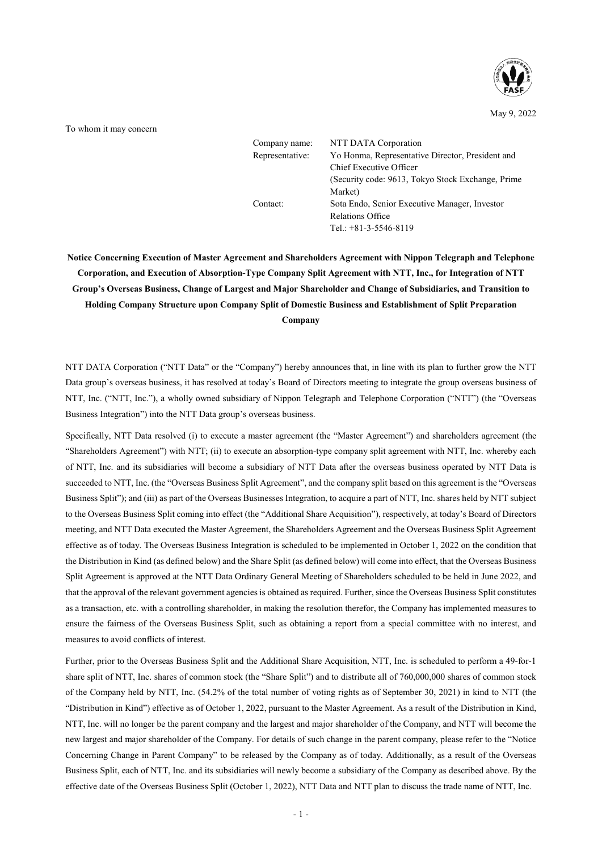

May 9, 2022

To whom it may concern

| Company name:<br>Representative: | NTT DATA Corporation<br>Yo Honma, Representative Director, President and |
|----------------------------------|--------------------------------------------------------------------------|
|                                  | Chief Executive Officer                                                  |
|                                  | (Security code: 9613, Tokyo Stock Exchange, Prime)                       |
|                                  | Market)                                                                  |
| Contact:                         | Sota Endo, Senior Executive Manager, Investor                            |
|                                  | Relations Office                                                         |
|                                  | Tel.: $+81-3-5546-8119$                                                  |

**Notice Concerning Execution of Master Agreement and Shareholders Agreement with Nippon Telegraph and Telephone Corporation, and Execution of Absorption-Type Company Split Agreement with NTT, Inc., for Integration of NTT Group's Overseas Business, Change of Largest and Major Shareholder and Change of Subsidiaries, and Transition to Holding Company Structure upon Company Split of Domestic Business and Establishment of Split Preparation Company**

NTT DATA Corporation ("NTT Data" or the "Company") hereby announces that, in line with its plan to further grow the NTT Data group's overseas business, it has resolved at today's Board of Directors meeting to integrate the group overseas business of NTT, Inc. ("NTT, Inc."), a wholly owned subsidiary of Nippon Telegraph and Telephone Corporation ("NTT") (the "Overseas Business Integration") into the NTT Data group's overseas business.

Specifically, NTT Data resolved (i) to execute a master agreement (the "Master Agreement") and shareholders agreement (the "Shareholders Agreement") with NTT; (ii) to execute an absorption-type company split agreement with NTT, Inc. whereby each of NTT, Inc. and its subsidiaries will become a subsidiary of NTT Data after the overseas business operated by NTT Data is succeeded to NTT, Inc. (the "Overseas Business Split Agreement", and the company split based on this agreement is the "Overseas Business Split"); and (iii) as part of the Overseas Businesses Integration, to acquire a part of NTT, Inc. shares held by NTT subject to the Overseas Business Split coming into effect (the "Additional Share Acquisition"), respectively, at today's Board of Directors meeting, and NTT Data executed the Master Agreement, the Shareholders Agreement and the Overseas Business Split Agreement effective as of today. The Overseas Business Integration is scheduled to be implemented in October 1, 2022 on the condition that the Distribution in Kind (as defined below) and the Share Split (as defined below) will come into effect, that the Overseas Business Split Agreement is approved at the NTT Data Ordinary General Meeting of Shareholders scheduled to be held in June 2022, and that the approval of the relevant government agencies is obtained as required. Further, since the Overseas Business Split constitutes as a transaction, etc. with a controlling shareholder, in making the resolution therefor, the Company has implemented measures to ensure the fairness of the Overseas Business Split, such as obtaining a report from a special committee with no interest, and measures to avoid conflicts of interest.

Further, prior to the Overseas Business Split and the Additional Share Acquisition, NTT, Inc. is scheduled to perform a 49-for-1 share split of NTT, Inc. shares of common stock (the "Share Split") and to distribute all of 760,000,000 shares of common stock of the Company held by NTT, Inc. (54.2% of the total number of voting rights as of September 30, 2021) in kind to NTT (the "Distribution in Kind") effective as of October 1, 2022, pursuant to the Master Agreement. As a result of the Distribution in Kind, NTT, Inc. will no longer be the parent company and the largest and major shareholder of the Company, and NTT will become the new largest and major shareholder of the Company. For details of such change in the parent company, please refer to the "Notice Concerning Change in Parent Company" to be released by the Company as of today. Additionally, as a result of the Overseas Business Split, each of NTT, Inc. and its subsidiaries will newly become a subsidiary of the Company as described above. By the effective date of the Overseas Business Split (October 1, 2022), NTT Data and NTT plan to discuss the trade name of NTT, Inc.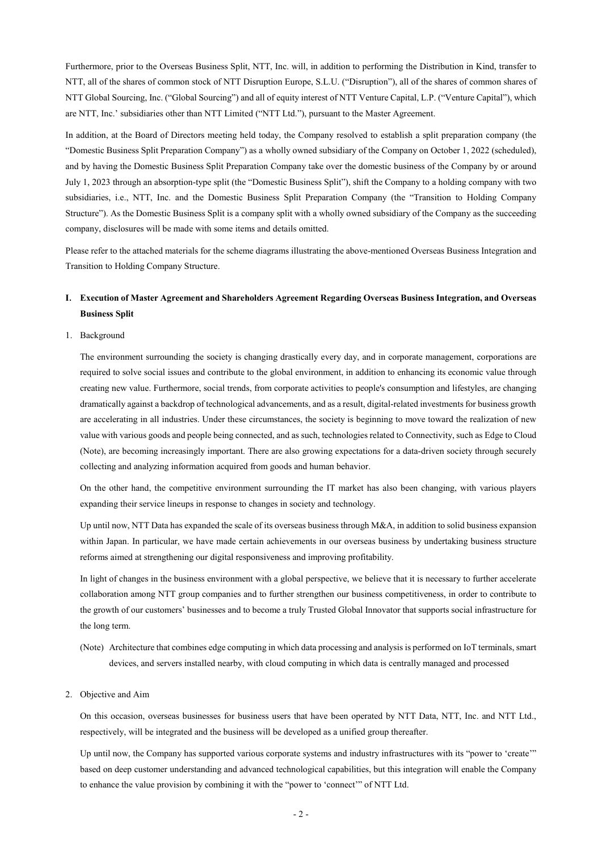Furthermore, prior to the Overseas Business Split, NTT, Inc. will, in addition to performing the Distribution in Kind, transfer to NTT, all of the shares of common stock of NTT Disruption Europe, S.L.U. ("Disruption"), all of the shares of common shares of NTT Global Sourcing, Inc. ("Global Sourcing") and all of equity interest of NTT Venture Capital, L.P. ("Venture Capital"), which are NTT, Inc.' subsidiaries other than NTT Limited ("NTT Ltd."), pursuant to the Master Agreement.

In addition, at the Board of Directors meeting held today, the Company resolved to establish a split preparation company (the "Domestic Business Split Preparation Company") as a wholly owned subsidiary of the Company on October 1, 2022 (scheduled), and by having the Domestic Business Split Preparation Company take over the domestic business of the Company by or around July 1, 2023 through an absorption-type split (the "Domestic Business Split"), shift the Company to a holding company with two subsidiaries, i.e., NTT, Inc. and the Domestic Business Split Preparation Company (the "Transition to Holding Company Structure"). As the Domestic Business Split is a company split with a wholly owned subsidiary of the Company as the succeeding company, disclosures will be made with some items and details omitted.

Please refer to the attached materials for the scheme diagrams illustrating the above-mentioned Overseas Business Integration and Transition to Holding Company Structure.

# **I**. **Execution of Master Agreement and Shareholders Agreement Regarding Overseas Business Integration, and Overseas Business Split**

### 1. Background

The environment surrounding the society is changing drastically every day, and in corporate management, corporations are required to solve social issues and contribute to the global environment, in addition to enhancing its economic value through creating new value. Furthermore, social trends, from corporate activities to people's consumption and lifestyles, are changing dramatically against a backdrop of technological advancements, and as a result, digital-related investments for business growth are accelerating in all industries. Under these circumstances, the society is beginning to move toward the realization of new value with various goods and people being connected, and as such, technologies related to Connectivity, such as Edge to Cloud (Note), are becoming increasingly important. There are also growing expectations for a data-driven society through securely collecting and analyzing information acquired from goods and human behavior.

On the other hand, the competitive environment surrounding the IT market has also been changing, with various players expanding their service lineups in response to changes in society and technology.

Up until now, NTT Data has expanded the scale of its overseas business through M&A, in addition to solid business expansion within Japan. In particular, we have made certain achievements in our overseas business by undertaking business structure reforms aimed at strengthening our digital responsiveness and improving profitability.

In light of changes in the business environment with a global perspective, we believe that it is necessary to further accelerate collaboration among NTT group companies and to further strengthen our business competitiveness, in order to contribute to the growth of our customers' businesses and to become a truly Trusted Global Innovator that supports social infrastructure for the long term.

(Note) Architecture that combines edge computing in which data processing and analysis is performed on IoT terminals, smart devices, and servers installed nearby, with cloud computing in which data is centrally managed and processed

### 2. Objective and Aim

On this occasion, overseas businesses for business users that have been operated by NTT Data, NTT, Inc. and NTT Ltd., respectively, will be integrated and the business will be developed as a unified group thereafter.

Up until now, the Company has supported various corporate systems and industry infrastructures with its "power to 'create'" based on deep customer understanding and advanced technological capabilities, but this integration will enable the Company to enhance the value provision by combining it with the "power to 'connect'" of NTT Ltd.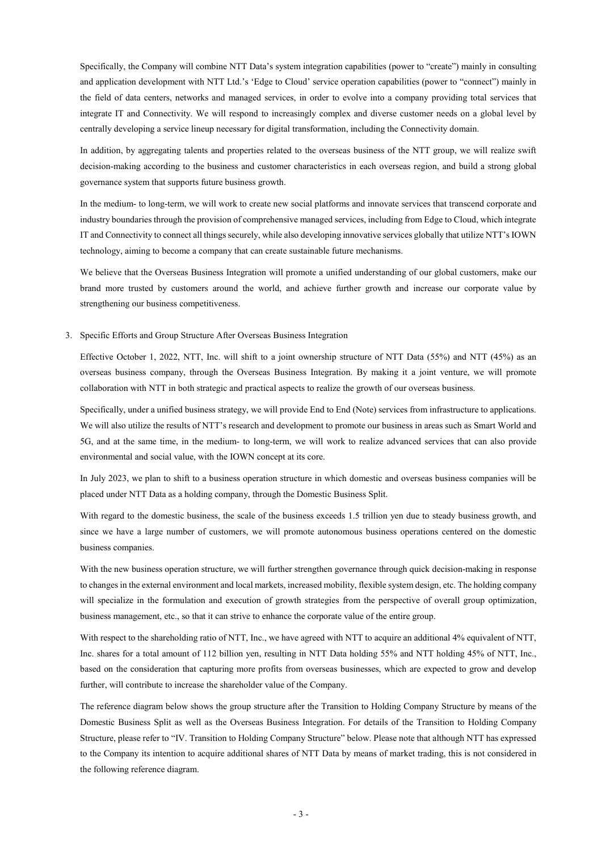Specifically, the Company will combine NTT Data's system integration capabilities (power to "create") mainly in consulting and application development with NTT Ltd.'s 'Edge to Cloud' service operation capabilities (power to "connect") mainly in the field of data centers, networks and managed services, in order to evolve into a company providing total services that integrate IT and Connectivity. We will respond to increasingly complex and diverse customer needs on a global level by centrally developing a service lineup necessary for digital transformation, including the Connectivity domain.

In addition, by aggregating talents and properties related to the overseas business of the NTT group, we will realize swift decision-making according to the business and customer characteristics in each overseas region, and build a strong global governance system that supports future business growth.

In the medium- to long-term, we will work to create new social platforms and innovate services that transcend corporate and industry boundaries through the provision of comprehensive managed services, including from Edge to Cloud, which integrate IT and Connectivity to connect all things securely, while also developing innovative services globally that utilize NTT's IOWN technology, aiming to become a company that can create sustainable future mechanisms.

We believe that the Overseas Business Integration will promote a unified understanding of our global customers, make our brand more trusted by customers around the world, and achieve further growth and increase our corporate value by strengthening our business competitiveness.

3. Specific Efforts and Group Structure After Overseas Business Integration

Effective October 1, 2022, NTT, Inc. will shift to a joint ownership structure of NTT Data (55%) and NTT (45%) as an overseas business company, through the Overseas Business Integration. By making it a joint venture, we will promote collaboration with NTT in both strategic and practical aspects to realize the growth of our overseas business.

Specifically, under a unified business strategy, we will provide End to End (Note) services from infrastructure to applications. We will also utilize the results of NTT's research and development to promote our business in areas such as Smart World and 5G, and at the same time, in the medium- to long-term, we will work to realize advanced services that can also provide environmental and social value, with the IOWN concept at its core.

In July 2023, we plan to shift to a business operation structure in which domestic and overseas business companies will be placed under NTT Data as a holding company, through the Domestic Business Split.

With regard to the domestic business, the scale of the business exceeds 1.5 trillion yen due to steady business growth, and since we have a large number of customers, we will promote autonomous business operations centered on the domestic business companies.

With the new business operation structure, we will further strengthen governance through quick decision-making in response to changes in the external environment and local markets, increased mobility, flexible system design, etc. The holding company will specialize in the formulation and execution of growth strategies from the perspective of overall group optimization, business management, etc., so that it can strive to enhance the corporate value of the entire group.

With respect to the shareholding ratio of NTT, Inc., we have agreed with NTT to acquire an additional 4% equivalent of NTT, Inc. shares for a total amount of 112 billion yen, resulting in NTT Data holding 55% and NTT holding 45% of NTT, Inc., based on the consideration that capturing more profits from overseas businesses, which are expected to grow and develop further, will contribute to increase the shareholder value of the Company.

The reference diagram below shows the group structure after the Transition to Holding Company Structure by means of the Domestic Business Split as well as the Overseas Business Integration. For details of the Transition to Holding Company Structure, please refer to "IV. Transition to Holding Company Structure" below. Please note that although NTT has expressed to the Company its intention to acquire additional shares of NTT Data by means of market trading, this is not considered in the following reference diagram.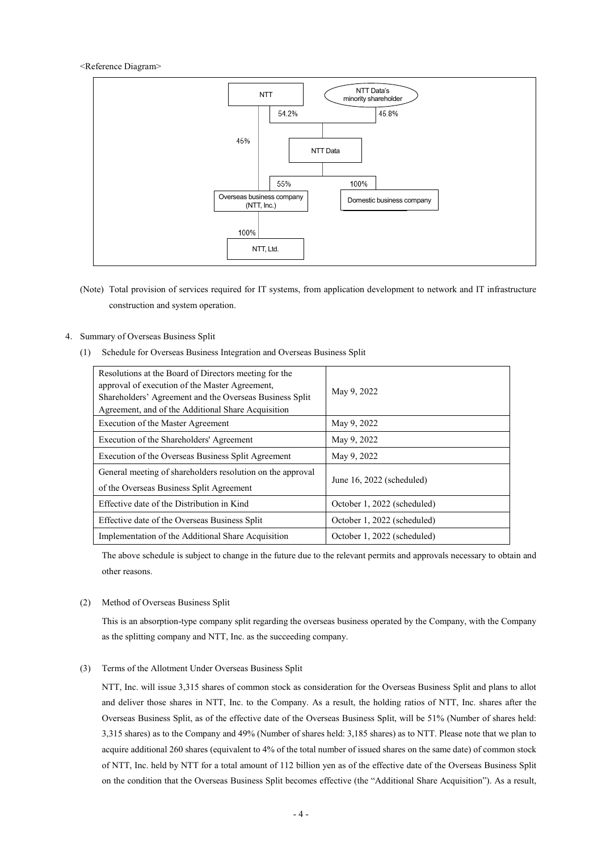### <Reference Diagram>



(Note) Total provision of services required for IT systems, from application development to network and IT infrastructure construction and system operation.

# 4. Summary of Overseas Business Split

(1) Schedule for Overseas Business Integration and Overseas Business Split

| Resolutions at the Board of Directors meeting for the<br>approval of execution of the Master Agreement,<br>Shareholders' Agreement and the Overseas Business Split<br>Agreement, and of the Additional Share Acquisition | May 9, 2022                 |
|--------------------------------------------------------------------------------------------------------------------------------------------------------------------------------------------------------------------------|-----------------------------|
| Execution of the Master Agreement                                                                                                                                                                                        | May 9, 2022                 |
| Execution of the Shareholders' Agreement                                                                                                                                                                                 | May 9, 2022                 |
| Execution of the Overseas Business Split Agreement                                                                                                                                                                       | May 9, 2022                 |
| General meeting of shareholders resolution on the approval<br>of the Overseas Business Split Agreement                                                                                                                   | June $16, 2022$ (scheduled) |
| Effective date of the Distribution in Kind                                                                                                                                                                               | October 1, 2022 (scheduled) |
| Effective date of the Overseas Business Split                                                                                                                                                                            | October 1, 2022 (scheduled) |
| Implementation of the Additional Share Acquisition                                                                                                                                                                       | October 1, 2022 (scheduled) |

The above schedule is subject to change in the future due to the relevant permits and approvals necessary to obtain and other reasons.

# (2) Method of Overseas Business Split

This is an absorption-type company split regarding the overseas business operated by the Company, with the Company as the splitting company and NTT, Inc. as the succeeding company.

### (3) Terms of the Allotment Under Overseas Business Split

NTT, Inc. will issue 3,315 shares of common stock as consideration for the Overseas Business Split and plans to allot and deliver those shares in NTT, Inc. to the Company. As a result, the holding ratios of NTT, Inc. shares after the Overseas Business Split, as of the effective date of the Overseas Business Split, will be 51% (Number of shares held: 3,315 shares) as to the Company and 49% (Number of shares held: 3,185 shares) as to NTT. Please note that we plan to acquire additional 260 shares (equivalent to 4% of the total number of issued shares on the same date) of common stock of NTT, Inc. held by NTT for a total amount of 112 billion yen as of the effective date of the Overseas Business Split on the condition that the Overseas Business Split becomes effective (the "Additional Share Acquisition"). As a result,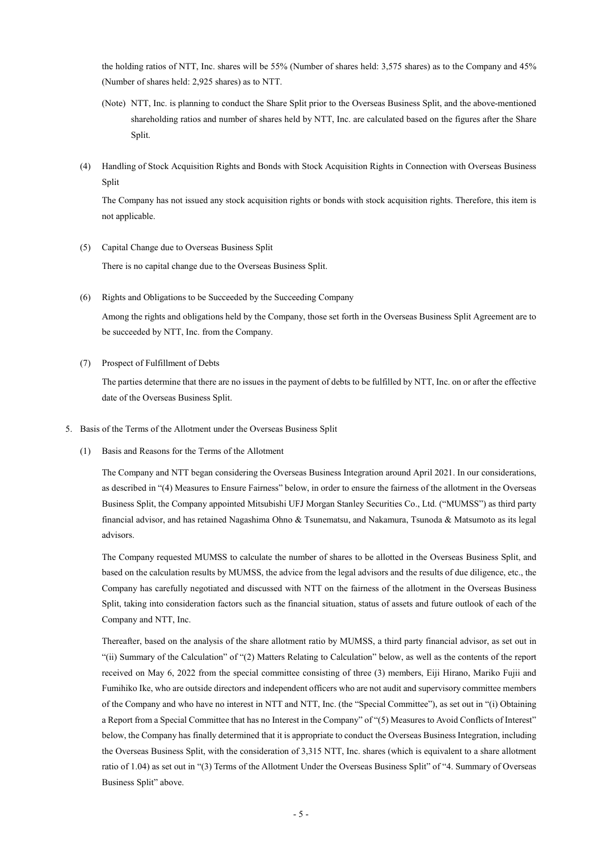the holding ratios of NTT, Inc. shares will be 55% (Number of shares held: 3,575 shares) as to the Company and 45% (Number of shares held: 2,925 shares) as to NTT.

- (Note) NTT, Inc. is planning to conduct the Share Split prior to the Overseas Business Split, and the above-mentioned shareholding ratios and number of shares held by NTT, Inc. are calculated based on the figures after the Share Split.
- (4) Handling of Stock Acquisition Rights and Bonds with Stock Acquisition Rights in Connection with Overseas Business Split

The Company has not issued any stock acquisition rights or bonds with stock acquisition rights. Therefore, this item is not applicable.

- (5) Capital Change due to Overseas Business Split There is no capital change due to the Overseas Business Split.
- (6) Rights and Obligations to be Succeeded by the Succeeding Company

Among the rights and obligations held by the Company, those set forth in the Overseas Business Split Agreement are to be succeeded by NTT, Inc. from the Company.

(7) Prospect of Fulfillment of Debts

The parties determine that there are no issues in the payment of debts to be fulfilled by NTT, Inc. on or after the effective date of the Overseas Business Split.

- 5. Basis of the Terms of the Allotment under the Overseas Business Split
	- (1) Basis and Reasons for the Terms of the Allotment

The Company and NTT began considering the Overseas Business Integration around April 2021. In our considerations, as described in "(4) Measures to Ensure Fairness" below, in order to ensure the fairness of the allotment in the Overseas Business Split, the Company appointed Mitsubishi UFJ Morgan Stanley Securities Co., Ltd. ("MUMSS") as third party financial advisor, and has retained Nagashima Ohno & Tsunematsu, and Nakamura, Tsunoda & Matsumoto as its legal advisors.

The Company requested MUMSS to calculate the number of shares to be allotted in the Overseas Business Split, and based on the calculation results by MUMSS, the advice from the legal advisors and the results of due diligence, etc., the Company has carefully negotiated and discussed with NTT on the fairness of the allotment in the Overseas Business Split, taking into consideration factors such as the financial situation, status of assets and future outlook of each of the Company and NTT, Inc.

Thereafter, based on the analysis of the share allotment ratio by MUMSS, a third party financial advisor, as set out in "(ii) Summary of the Calculation" of "(2) Matters Relating to Calculation" below, as well as the contents of the report received on May 6, 2022 from the special committee consisting of three (3) members, Eiji Hirano, Mariko Fujii and Fumihiko Ike, who are outside directors and independent officers who are not audit and supervisory committee members of the Company and who have no interest in NTT and NTT, Inc. (the "Special Committee"), as set out in "(i) Obtaining a Report from a Special Committee that has no Interest in the Company" of "(5) Measures to Avoid Conflicts of Interest" below, the Company has finally determined that it is appropriate to conduct the Overseas Business Integration, including the Overseas Business Split, with the consideration of 3,315 NTT, Inc. shares (which is equivalent to a share allotment ratio of 1.04) as set out in "(3) Terms of the Allotment Under the Overseas Business Split" of "4. Summary of Overseas Business Split" above.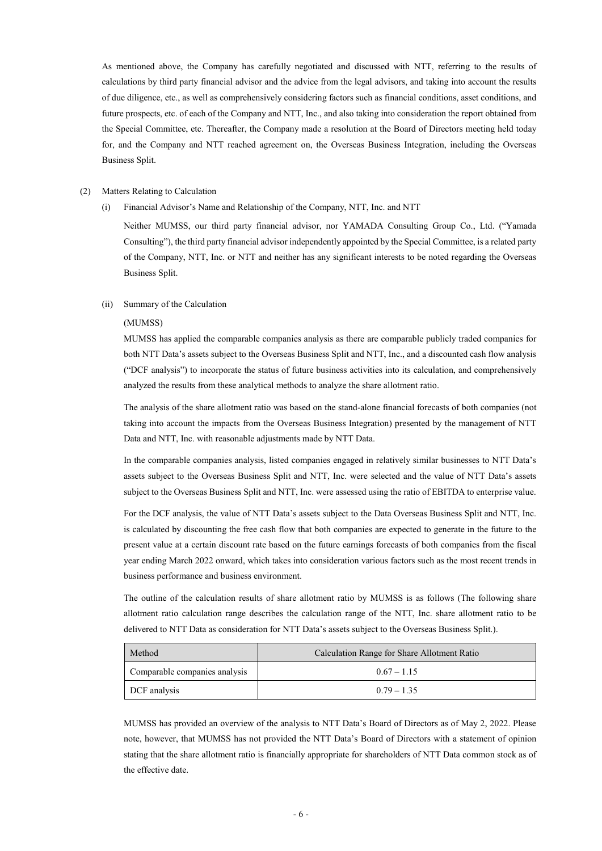As mentioned above, the Company has carefully negotiated and discussed with NTT, referring to the results of calculations by third party financial advisor and the advice from the legal advisors, and taking into account the results of due diligence, etc., as well as comprehensively considering factors such as financial conditions, asset conditions, and future prospects, etc. of each of the Company and NTT, Inc., and also taking into consideration the report obtained from the Special Committee, etc. Thereafter, the Company made a resolution at the Board of Directors meeting held today for, and the Company and NTT reached agreement on, the Overseas Business Integration, including the Overseas Business Split.

# (2) Matters Relating to Calculation

(i) Financial Advisor's Name and Relationship of the Company, NTT, Inc. and NTT

Neither MUMSS, our third party financial advisor, nor YAMADA Consulting Group Co., Ltd. ("Yamada Consulting"), the third party financial advisor independently appointed by the Special Committee, is a related party of the Company, NTT, Inc. or NTT and neither has any significant interests to be noted regarding the Overseas Business Split.

# (ii) Summary of the Calculation

### (MUMSS)

MUMSS has applied the comparable companies analysis as there are comparable publicly traded companies for both NTT Data's assets subject to the Overseas Business Split and NTT, Inc., and a discounted cash flow analysis ("DCF analysis") to incorporate the status of future business activities into its calculation, and comprehensively analyzed the results from these analytical methods to analyze the share allotment ratio.

The analysis of the share allotment ratio was based on the stand-alone financial forecasts of both companies (not taking into account the impacts from the Overseas Business Integration) presented by the management of NTT Data and NTT, Inc. with reasonable adjustments made by NTT Data.

In the comparable companies analysis, listed companies engaged in relatively similar businesses to NTT Data's assets subject to the Overseas Business Split and NTT, Inc. were selected and the value of NTT Data's assets subject to the Overseas Business Split and NTT, Inc. were assessed using the ratio of EBITDA to enterprise value.

For the DCF analysis, the value of NTT Data's assets subject to the Data Overseas Business Split and NTT, Inc. is calculated by discounting the free cash flow that both companies are expected to generate in the future to the present value at a certain discount rate based on the future earnings forecasts of both companies from the fiscal year ending March 2022 onward, which takes into consideration various factors such as the most recent trends in business performance and business environment.

The outline of the calculation results of share allotment ratio by MUMSS is as follows (The following share allotment ratio calculation range describes the calculation range of the NTT, Inc. share allotment ratio to be delivered to NTT Data as consideration for NTT Data's assets subject to the Overseas Business Split.).

| Method                        | Calculation Range for Share Allotment Ratio |
|-------------------------------|---------------------------------------------|
| Comparable companies analysis | $0.67 - 1.15$                               |
| DCF analysis                  | $0.79 - 1.35$                               |

MUMSS has provided an overview of the analysis to NTT Data's Board of Directors as of May 2, 2022. Please note, however, that MUMSS has not provided the NTT Data's Board of Directors with a statement of opinion stating that the share allotment ratio is financially appropriate for shareholders of NTT Data common stock as of the effective date.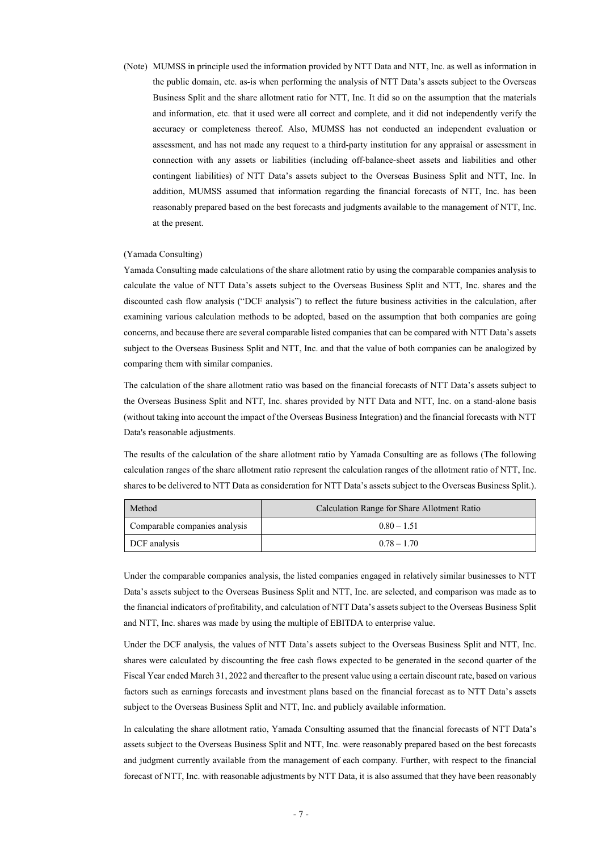(Note) MUMSS in principle used the information provided by NTT Data and NTT, Inc. as well as information in the public domain, etc. as-is when performing the analysis of NTT Data's assets subject to the Overseas Business Split and the share allotment ratio for NTT, Inc. It did so on the assumption that the materials and information, etc. that it used were all correct and complete, and it did not independently verify the accuracy or completeness thereof. Also, MUMSS has not conducted an independent evaluation or assessment, and has not made any request to a third-party institution for any appraisal or assessment in connection with any assets or liabilities (including off-balance-sheet assets and liabilities and other contingent liabilities) of NTT Data's assets subject to the Overseas Business Split and NTT, Inc. In addition, MUMSS assumed that information regarding the financial forecasts of NTT, Inc. has been reasonably prepared based on the best forecasts and judgments available to the management of NTT, Inc. at the present.

### (Yamada Consulting)

Yamada Consulting made calculations of the share allotment ratio by using the comparable companies analysis to calculate the value of NTT Data's assets subject to the Overseas Business Split and NTT, Inc. shares and the discounted cash flow analysis ("DCF analysis") to reflect the future business activities in the calculation, after examining various calculation methods to be adopted, based on the assumption that both companies are going concerns, and because there are several comparable listed companies that can be compared with NTT Data's assets subject to the Overseas Business Split and NTT, Inc. and that the value of both companies can be analogized by comparing them with similar companies.

The calculation of the share allotment ratio was based on the financial forecasts of NTT Data's assets subject to the Overseas Business Split and NTT, Inc. shares provided by NTT Data and NTT, Inc. on a stand-alone basis (without taking into account the impact of the Overseas Business Integration) and the financial forecasts with NTT Data's reasonable adjustments.

The results of the calculation of the share allotment ratio by Yamada Consulting are as follows (The following calculation ranges of the share allotment ratio represent the calculation ranges of the allotment ratio of NTT, Inc. shares to be delivered to NTT Data as consideration for NTT Data's assets subject to the Overseas Business Split.).

| Method                        | Calculation Range for Share Allotment Ratio |
|-------------------------------|---------------------------------------------|
| Comparable companies analysis | $0.80 - 1.51$                               |
| DCF analysis                  | $0.78 - 1.70$                               |

Under the comparable companies analysis, the listed companies engaged in relatively similar businesses to NTT Data's assets subject to the Overseas Business Split and NTT, Inc. are selected, and comparison was made as to the financial indicators of profitability, and calculation of NTT Data's assets subject to the Overseas Business Split and NTT, Inc. shares was made by using the multiple of EBITDA to enterprise value.

Under the DCF analysis, the values of NTT Data's assets subject to the Overseas Business Split and NTT, Inc. shares were calculated by discounting the free cash flows expected to be generated in the second quarter of the Fiscal Year ended March 31, 2022 and thereafter to the present value using a certain discount rate, based on various factors such as earnings forecasts and investment plans based on the financial forecast as to NTT Data's assets subject to the Overseas Business Split and NTT, Inc. and publicly available information.

In calculating the share allotment ratio, Yamada Consulting assumed that the financial forecasts of NTT Data's assets subject to the Overseas Business Split and NTT, Inc. were reasonably prepared based on the best forecasts and judgment currently available from the management of each company. Further, with respect to the financial forecast of NTT, Inc. with reasonable adjustments by NTT Data, it is also assumed that they have been reasonably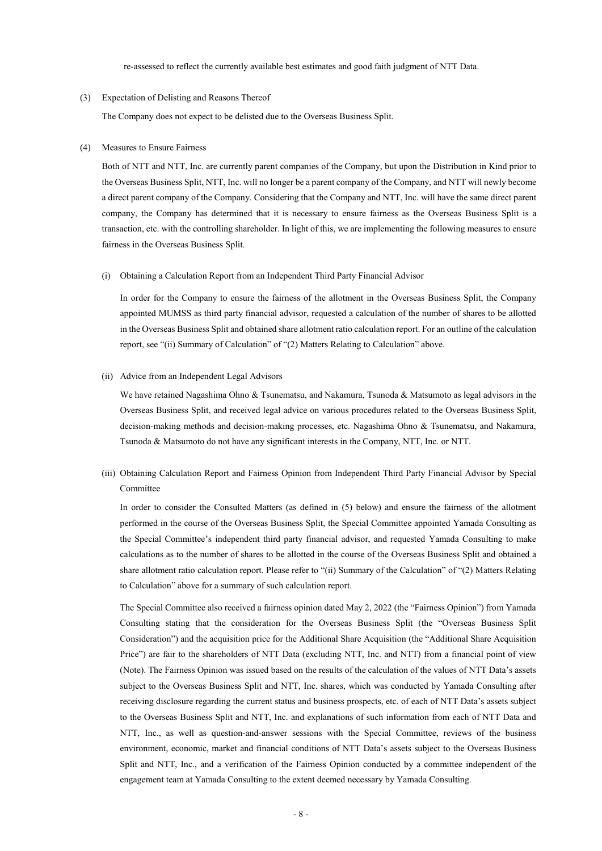re-assessed to reflect the currently available best estimates and good faith judgment of NTT Data.

### (3) Expectation of Delisting and Reasons Thereof

The Company does not expect to be delisted due to the Overseas Business Split.

### (4) Measures to Ensure Fairness

Both of NTT and NTT, Inc. are currently parent companies of the Company, but upon the Distribution in Kind prior to the Overseas Business Split, NTT, Inc. will no longer be a parent company of the Company, and NTT will newly become a direct parent company of the Company. Considering that the Company and NTT, Inc. will have the same direct parent company, the Company has determined that it is necessary to ensure fairness as the Overseas Business Split is a transaction, etc. with the controlling shareholder. In light of this, we are implementing the following measures to ensure fairness in the Overseas Business Split.

### (i) Obtaining a Calculation Report from an Independent Third Party Financial Advisor

In order for the Company to ensure the fairness of the allotment in the Overseas Business Split, the Company appointed MUMSS as third party financial advisor, requested a calculation of the number of shares to be allotted in the Overseas Business Split and obtained share allotment ratio calculation report. For an outline of the calculation report, see "(ii) Summary of Calculation" of "(2) Matters Relating to Calculation" above.

### (ii) Advice from an Independent Legal Advisors

We have retained Nagashima Ohno & Tsunematsu, and Nakamura, Tsunoda & Matsumoto as legal advisors in the Overseas Business Split, and received legal advice on various procedures related to the Overseas Business Split, decision-making methods and decision-making processes, etc. Nagashima Ohno & Tsunematsu, and Nakamura, Tsunoda & Matsumoto do not have any significant interests in the Company, NTT, Inc. or NTT.

(iii) Obtaining Calculation Report and Fairness Opinion from Independent Third Party Financial Advisor by Special Committee

In order to consider the Consulted Matters (as defined in (5) below) and ensure the fairness of the allotment performed in the course of the Overseas Business Split, the Special Committee appointed Yamada Consulting as the Special Committee's independent third party financial advisor, and requested Yamada Consulting to make calculations as to the number of shares to be allotted in the course of the Overseas Business Split and obtained a share allotment ratio calculation report. Please refer to "(ii) Summary of the Calculation" of "(2) Matters Relating to Calculation" above for a summary of such calculation report.

The Special Committee also received a fairness opinion dated May 2, 2022 (the "Fairness Opinion") from Yamada Consulting stating that the consideration for the Overseas Business Split (the "Overseas Business Split Consideration") and the acquisition price for the Additional Share Acquisition (the "Additional Share Acquisition Price") are fair to the shareholders of NTT Data (excluding NTT, Inc. and NTT) from a financial point of view (Note). The Fairness Opinion was issued based on the results of the calculation of the values of NTT Data's assets subject to the Overseas Business Split and NTT, Inc. shares, which was conducted by Yamada Consulting after receiving disclosure regarding the current status and business prospects, etc. of each of NTT Data's assets subject to the Overseas Business Split and NTT, Inc. and explanations of such information from each of NTT Data and NTT, Inc., as well as question-and-answer sessions with the Special Committee, reviews of the business environment, economic, market and financial conditions of NTT Data's assets subject to the Overseas Business Split and NTT, Inc., and a verification of the Fairness Opinion conducted by a committee independent of the engagement team at Yamada Consulting to the extent deemed necessary by Yamada Consulting.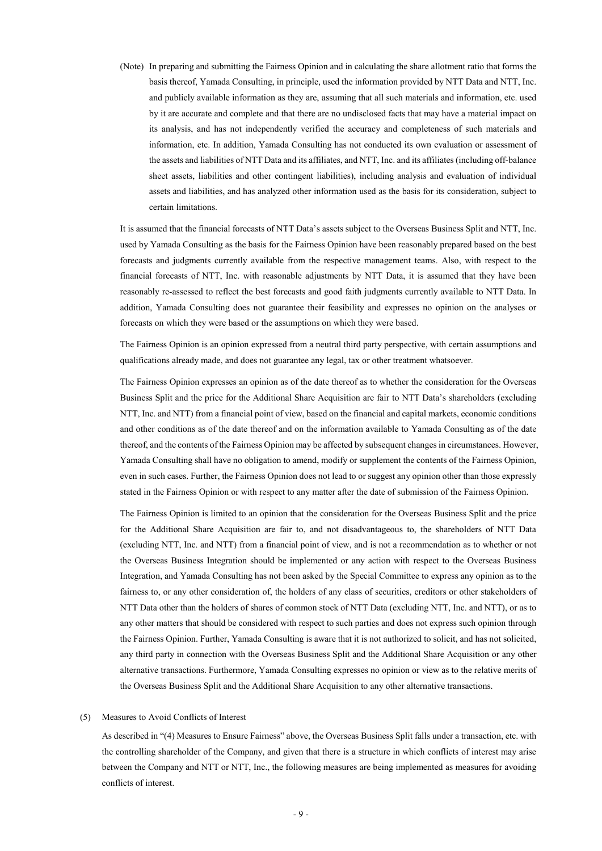(Note) In preparing and submitting the Fairness Opinion and in calculating the share allotment ratio that forms the basis thereof, Yamada Consulting, in principle, used the information provided by NTT Data and NTT, Inc. and publicly available information as they are, assuming that all such materials and information, etc. used by it are accurate and complete and that there are no undisclosed facts that may have a material impact on its analysis, and has not independently verified the accuracy and completeness of such materials and information, etc. In addition, Yamada Consulting has not conducted its own evaluation or assessment of the assets and liabilities of NTT Data and its affiliates, and NTT, Inc. and its affiliates (including off-balance sheet assets, liabilities and other contingent liabilities), including analysis and evaluation of individual assets and liabilities, and has analyzed other information used as the basis for its consideration, subject to certain limitations.

It is assumed that the financial forecasts of NTT Data's assets subject to the Overseas Business Split and NTT, Inc. used by Yamada Consulting as the basis for the Fairness Opinion have been reasonably prepared based on the best forecasts and judgments currently available from the respective management teams. Also, with respect to the financial forecasts of NTT, Inc. with reasonable adjustments by NTT Data, it is assumed that they have been reasonably re-assessed to reflect the best forecasts and good faith judgments currently available to NTT Data. In addition, Yamada Consulting does not guarantee their feasibility and expresses no opinion on the analyses or forecasts on which they were based or the assumptions on which they were based.

The Fairness Opinion is an opinion expressed from a neutral third party perspective, with certain assumptions and qualifications already made, and does not guarantee any legal, tax or other treatment whatsoever.

The Fairness Opinion expresses an opinion as of the date thereof as to whether the consideration for the Overseas Business Split and the price for the Additional Share Acquisition are fair to NTT Data's shareholders (excluding NTT, Inc. and NTT) from a financial point of view, based on the financial and capital markets, economic conditions and other conditions as of the date thereof and on the information available to Yamada Consulting as of the date thereof, and the contents of the Fairness Opinion may be affected by subsequent changes in circumstances. However, Yamada Consulting shall have no obligation to amend, modify or supplement the contents of the Fairness Opinion, even in such cases. Further, the Fairness Opinion does not lead to or suggest any opinion other than those expressly stated in the Fairness Opinion or with respect to any matter after the date of submission of the Fairness Opinion.

The Fairness Opinion is limited to an opinion that the consideration for the Overseas Business Split and the price for the Additional Share Acquisition are fair to, and not disadvantageous to, the shareholders of NTT Data (excluding NTT, Inc. and NTT) from a financial point of view, and is not a recommendation as to whether or not the Overseas Business Integration should be implemented or any action with respect to the Overseas Business Integration, and Yamada Consulting has not been asked by the Special Committee to express any opinion as to the fairness to, or any other consideration of, the holders of any class of securities, creditors or other stakeholders of NTT Data other than the holders of shares of common stock of NTT Data (excluding NTT, Inc. and NTT), or as to any other matters that should be considered with respect to such parties and does not express such opinion through the Fairness Opinion. Further, Yamada Consulting is aware that it is not authorized to solicit, and has not solicited, any third party in connection with the Overseas Business Split and the Additional Share Acquisition or any other alternative transactions. Furthermore, Yamada Consulting expresses no opinion or view as to the relative merits of the Overseas Business Split and the Additional Share Acquisition to any other alternative transactions.

### (5) Measures to Avoid Conflicts of Interest

As described in "(4) Measures to Ensure Fairness" above, the Overseas Business Split falls under a transaction, etc. with the controlling shareholder of the Company, and given that there is a structure in which conflicts of interest may arise between the Company and NTT or NTT, Inc., the following measures are being implemented as measures for avoiding conflicts of interest.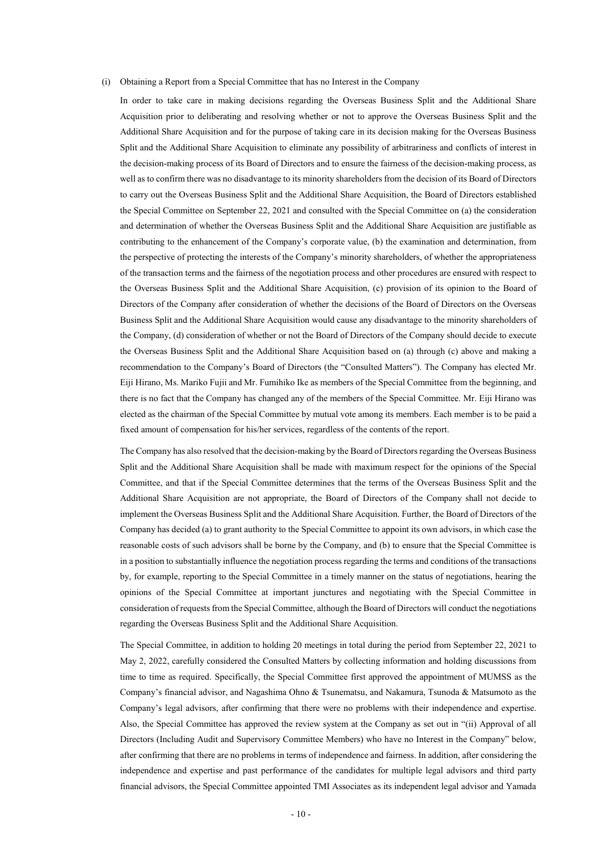### (i) Obtaining a Report from a Special Committee that has no Interest in the Company

In order to take care in making decisions regarding the Overseas Business Split and the Additional Share Acquisition prior to deliberating and resolving whether or not to approve the Overseas Business Split and the Additional Share Acquisition and for the purpose of taking care in its decision making for the Overseas Business Split and the Additional Share Acquisition to eliminate any possibility of arbitrariness and conflicts of interest in the decision-making process of its Board of Directors and to ensure the fairness of the decision-making process, as well as to confirm there was no disadvantage to its minority shareholders from the decision of its Board of Directors to carry out the Overseas Business Split and the Additional Share Acquisition, the Board of Directors established the Special Committee on September 22, 2021 and consulted with the Special Committee on (a) the consideration and determination of whether the Overseas Business Split and the Additional Share Acquisition are justifiable as contributing to the enhancement of the Company's corporate value, (b) the examination and determination, from the perspective of protecting the interests of the Company's minority shareholders, of whether the appropriateness of the transaction terms and the fairness of the negotiation process and other procedures are ensured with respect to the Overseas Business Split and the Additional Share Acquisition, (c) provision of its opinion to the Board of Directors of the Company after consideration of whether the decisions of the Board of Directors on the Overseas Business Split and the Additional Share Acquisition would cause any disadvantage to the minority shareholders of the Company, (d) consideration of whether or not the Board of Directors of the Company should decide to execute the Overseas Business Split and the Additional Share Acquisition based on (a) through (c) above and making a recommendation to the Company's Board of Directors (the "Consulted Matters"). The Company has elected Mr. Eiji Hirano, Ms. Mariko Fujii and Mr. Fumihiko Ike as members of the Special Committee from the beginning, and there is no fact that the Company has changed any of the members of the Special Committee. Mr. Eiji Hirano was elected as the chairman of the Special Committee by mutual vote among its members. Each member is to be paid a fixed amount of compensation for his/her services, regardless of the contents of the report.

The Company has also resolved that the decision-making by the Board of Directors regarding the Overseas Business Split and the Additional Share Acquisition shall be made with maximum respect for the opinions of the Special Committee, and that if the Special Committee determines that the terms of the Overseas Business Split and the Additional Share Acquisition are not appropriate, the Board of Directors of the Company shall not decide to implement the Overseas Business Split and the Additional Share Acquisition. Further, the Board of Directors of the Company has decided (a) to grant authority to the Special Committee to appoint its own advisors, in which case the reasonable costs of such advisors shall be borne by the Company, and (b) to ensure that the Special Committee is in a position to substantially influence the negotiation process regarding the terms and conditions of the transactions by, for example, reporting to the Special Committee in a timely manner on the status of negotiations, hearing the opinions of the Special Committee at important junctures and negotiating with the Special Committee in consideration of requests from the Special Committee, although the Board of Directors will conduct the negotiations regarding the Overseas Business Split and the Additional Share Acquisition.

The Special Committee, in addition to holding 20 meetings in total during the period from September 22, 2021 to May 2, 2022, carefully considered the Consulted Matters by collecting information and holding discussions from time to time as required. Specifically, the Special Committee first approved the appointment of MUMSS as the Company's financial advisor, and Nagashima Ohno & Tsunematsu, and Nakamura, Tsunoda & Matsumoto as the Company's legal advisors, after confirming that there were no problems with their independence and expertise. Also, the Special Committee has approved the review system at the Company as set out in "(ii) Approval of all Directors (Including Audit and Supervisory Committee Members) who have no Interest in the Company" below, after confirming that there are no problems in terms of independence and fairness. In addition, after considering the independence and expertise and past performance of the candidates for multiple legal advisors and third party financial advisors, the Special Committee appointed TMI Associates as its independent legal advisor and Yamada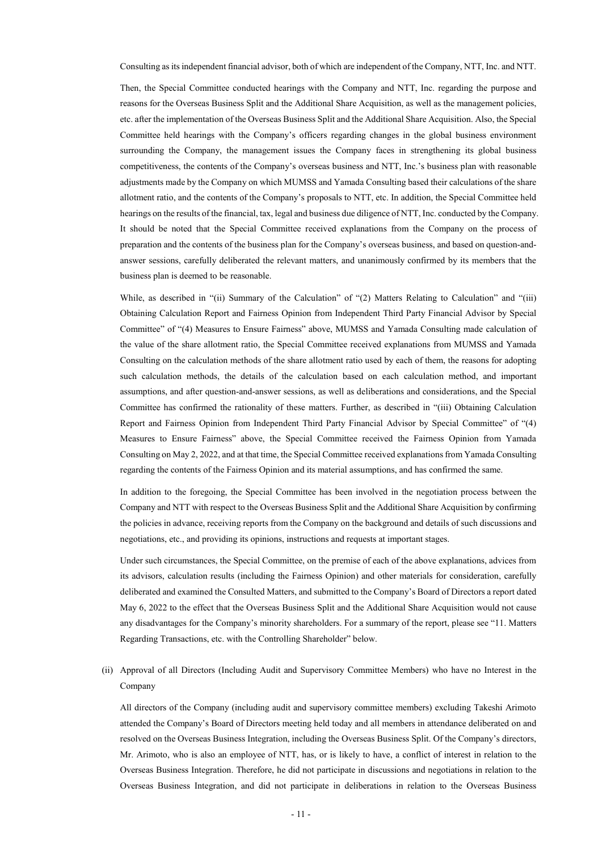Consulting as its independent financial advisor, both of which are independent of the Company, NTT, Inc. and NTT.

Then, the Special Committee conducted hearings with the Company and NTT, Inc. regarding the purpose and reasons for the Overseas Business Split and the Additional Share Acquisition, as well as the management policies, etc. after the implementation of the Overseas Business Split and the Additional Share Acquisition. Also, the Special Committee held hearings with the Company's officers regarding changes in the global business environment surrounding the Company, the management issues the Company faces in strengthening its global business competitiveness, the contents of the Company's overseas business and NTT, Inc.'s business plan with reasonable adjustments made by the Company on which MUMSS and Yamada Consulting based their calculations of the share allotment ratio, and the contents of the Company's proposals to NTT, etc. In addition, the Special Committee held hearings on the results of the financial, tax, legal and business due diligence of NTT, Inc. conducted by the Company. It should be noted that the Special Committee received explanations from the Company on the process of preparation and the contents of the business plan for the Company's overseas business, and based on question-andanswer sessions, carefully deliberated the relevant matters, and unanimously confirmed by its members that the business plan is deemed to be reasonable.

While, as described in "(ii) Summary of the Calculation" of "(2) Matters Relating to Calculation" and "(iii) Obtaining Calculation Report and Fairness Opinion from Independent Third Party Financial Advisor by Special Committee" of "(4) Measures to Ensure Fairness" above, MUMSS and Yamada Consulting made calculation of the value of the share allotment ratio, the Special Committee received explanations from MUMSS and Yamada Consulting on the calculation methods of the share allotment ratio used by each of them, the reasons for adopting such calculation methods, the details of the calculation based on each calculation method, and important assumptions, and after question-and-answer sessions, as well as deliberations and considerations, and the Special Committee has confirmed the rationality of these matters. Further, as described in "(iii) Obtaining Calculation Report and Fairness Opinion from Independent Third Party Financial Advisor by Special Committee" of "(4) Measures to Ensure Fairness" above, the Special Committee received the Fairness Opinion from Yamada Consulting on May 2, 2022, and at that time, the Special Committee received explanations from Yamada Consulting regarding the contents of the Fairness Opinion and its material assumptions, and has confirmed the same.

In addition to the foregoing, the Special Committee has been involved in the negotiation process between the Company and NTT with respect to the Overseas Business Split and the Additional Share Acquisition by confirming the policies in advance, receiving reports from the Company on the background and details of such discussions and negotiations, etc., and providing its opinions, instructions and requests at important stages.

Under such circumstances, the Special Committee, on the premise of each of the above explanations, advices from its advisors, calculation results (including the Fairness Opinion) and other materials for consideration, carefully deliberated and examined the Consulted Matters, and submitted to the Company's Board of Directors a report dated May 6, 2022 to the effect that the Overseas Business Split and the Additional Share Acquisition would not cause any disadvantages for the Company's minority shareholders. For a summary of the report, please see "11. Matters Regarding Transactions, etc. with the Controlling Shareholder" below.

(ii) Approval of all Directors (Including Audit and Supervisory Committee Members) who have no Interest in the Company

All directors of the Company (including audit and supervisory committee members) excluding Takeshi Arimoto attended the Company's Board of Directors meeting held today and all members in attendance deliberated on and resolved on the Overseas Business Integration, including the Overseas Business Split. Of the Company's directors, Mr. Arimoto, who is also an employee of NTT, has, or is likely to have, a conflict of interest in relation to the Overseas Business Integration. Therefore, he did not participate in discussions and negotiations in relation to the Overseas Business Integration, and did not participate in deliberations in relation to the Overseas Business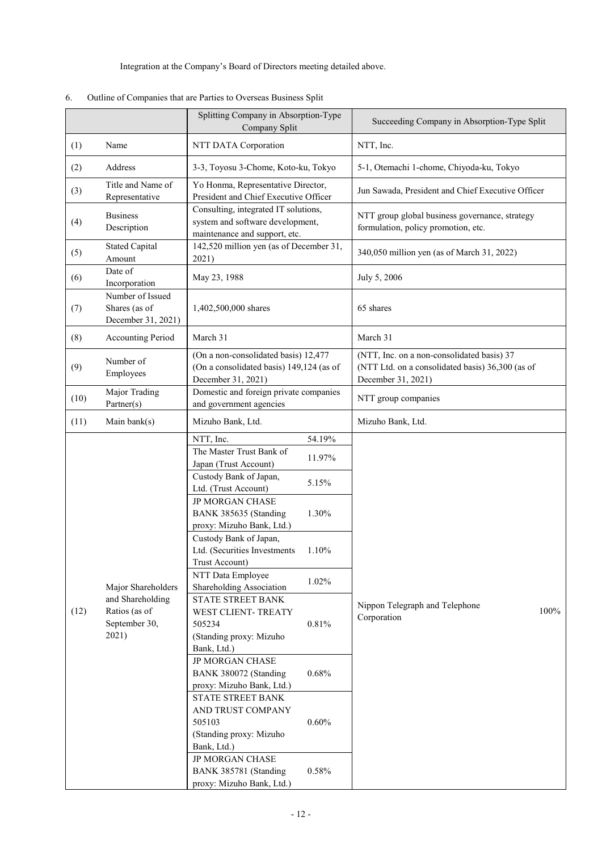Integration at the Company's Board of Directors meeting detailed above.

|      |                                                                                   | Splitting Company in Absorption-Type<br>Company Split                                                                                                                                                                                                                                                                                                                                                                                                                                                                                                                                                                                                                                            | Succeeding Company in Absorption-Type Split                                                                          |
|------|-----------------------------------------------------------------------------------|--------------------------------------------------------------------------------------------------------------------------------------------------------------------------------------------------------------------------------------------------------------------------------------------------------------------------------------------------------------------------------------------------------------------------------------------------------------------------------------------------------------------------------------------------------------------------------------------------------------------------------------------------------------------------------------------------|----------------------------------------------------------------------------------------------------------------------|
| (1)  | Name                                                                              | NTT DATA Corporation                                                                                                                                                                                                                                                                                                                                                                                                                                                                                                                                                                                                                                                                             | NTT, Inc.                                                                                                            |
| (2)  | Address                                                                           | 3-3, Toyosu 3-Chome, Koto-ku, Tokyo                                                                                                                                                                                                                                                                                                                                                                                                                                                                                                                                                                                                                                                              | 5-1, Otemachi 1-chome, Chiyoda-ku, Tokyo                                                                             |
| (3)  | Title and Name of<br>Representative                                               | Yo Honma, Representative Director,<br>President and Chief Executive Officer                                                                                                                                                                                                                                                                                                                                                                                                                                                                                                                                                                                                                      | Jun Sawada, President and Chief Executive Officer                                                                    |
| (4)  | <b>Business</b><br>Description                                                    | Consulting, integrated IT solutions,<br>system and software development,<br>maintenance and support, etc.                                                                                                                                                                                                                                                                                                                                                                                                                                                                                                                                                                                        | NTT group global business governance, strategy<br>formulation, policy promotion, etc.                                |
| (5)  | <b>Stated Capital</b><br>Amount                                                   | 142,520 million yen (as of December 31,<br>2021)                                                                                                                                                                                                                                                                                                                                                                                                                                                                                                                                                                                                                                                 | 340,050 million yen (as of March 31, 2022)                                                                           |
| (6)  | Date of<br>Incorporation                                                          | May 23, 1988                                                                                                                                                                                                                                                                                                                                                                                                                                                                                                                                                                                                                                                                                     | July 5, 2006                                                                                                         |
| (7)  | Number of Issued<br>Shares (as of<br>December 31, 2021)                           | 1,402,500,000 shares                                                                                                                                                                                                                                                                                                                                                                                                                                                                                                                                                                                                                                                                             | 65 shares                                                                                                            |
| (8)  | <b>Accounting Period</b>                                                          | March 31                                                                                                                                                                                                                                                                                                                                                                                                                                                                                                                                                                                                                                                                                         | March 31                                                                                                             |
| (9)  | Number of<br>Employees                                                            | (On a non-consolidated basis) 12,477<br>(On a consolidated basis) 149,124 (as of<br>December 31, 2021)                                                                                                                                                                                                                                                                                                                                                                                                                                                                                                                                                                                           | (NTT, Inc. on a non-consolidated basis) 37<br>(NTT Ltd. on a consolidated basis) 36,300 (as of<br>December 31, 2021) |
| (10) | Major Trading<br>Partner(s)                                                       | Domestic and foreign private companies<br>and government agencies                                                                                                                                                                                                                                                                                                                                                                                                                                                                                                                                                                                                                                | NTT group companies                                                                                                  |
| (11) | Main bank(s)                                                                      | Mizuho Bank, Ltd.                                                                                                                                                                                                                                                                                                                                                                                                                                                                                                                                                                                                                                                                                | Mizuho Bank, Ltd.                                                                                                    |
| (12) | Major Shareholders<br>and Shareholding<br>Ratios (as of<br>September 30,<br>2021) | NTT, Inc.<br>54.19%<br>The Master Trust Bank of<br>11.97%<br>Japan (Trust Account)<br>Custody Bank of Japan,<br>5.15%<br>Ltd. (Trust Account)<br><b>JP MORGAN CHASE</b><br>BANK 385635 (Standing<br>1.30%<br>proxy: Mizuho Bank, Ltd.)<br>Custody Bank of Japan,<br>Ltd. (Securities Investments<br>1.10%<br>Trust Account)<br>NTT Data Employee<br>1.02%<br>Shareholding Association<br>STATE STREET BANK<br>WEST CLIENT-TREATY<br>505234<br>0.81%<br>(Standing proxy: Mizuho<br>Bank, Ltd.)<br><b>JP MORGAN CHASE</b><br>BANK 380072 (Standing<br>0.68%<br>proxy: Mizuho Bank, Ltd.)<br>STATE STREET BANK<br>AND TRUST COMPANY<br>$0.60\%$<br>505103<br>(Standing proxy: Mizuho<br>Bank, Ltd.) | Nippon Telegraph and Telephone<br>100%<br>Corporation                                                                |
|      |                                                                                   | JP MORGAN CHASE<br>0.58%<br>BANK 385781 (Standing<br>proxy: Mizuho Bank, Ltd.)                                                                                                                                                                                                                                                                                                                                                                                                                                                                                                                                                                                                                   |                                                                                                                      |

# 6. Outline of Companies that are Parties to Overseas Business Split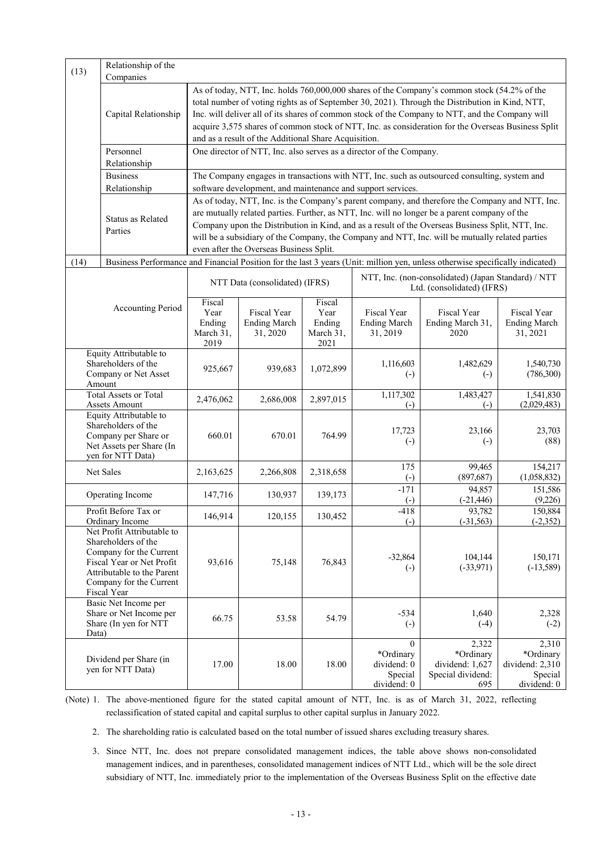| (13)                                                                                                                                    | Relationship of the                                                                                                                                                               |                                                                                                                                                                                                                                                                                                                                                                                                                                                                 |                                                |                                               |                                                                     |                                                                                                                                                                                                                                                                                                                                                                                                         |                                                                 |
|-----------------------------------------------------------------------------------------------------------------------------------------|-----------------------------------------------------------------------------------------------------------------------------------------------------------------------------------|-----------------------------------------------------------------------------------------------------------------------------------------------------------------------------------------------------------------------------------------------------------------------------------------------------------------------------------------------------------------------------------------------------------------------------------------------------------------|------------------------------------------------|-----------------------------------------------|---------------------------------------------------------------------|---------------------------------------------------------------------------------------------------------------------------------------------------------------------------------------------------------------------------------------------------------------------------------------------------------------------------------------------------------------------------------------------------------|-----------------------------------------------------------------|
|                                                                                                                                         | Companies                                                                                                                                                                         |                                                                                                                                                                                                                                                                                                                                                                                                                                                                 |                                                |                                               |                                                                     |                                                                                                                                                                                                                                                                                                                                                                                                         |                                                                 |
|                                                                                                                                         | Capital Relationship                                                                                                                                                              | As of today, NTT, Inc. holds 760,000,000 shares of the Company's common stock (54.2% of the<br>total number of voting rights as of September 30, 2021). Through the Distribution in Kind, NTT,<br>Inc. will deliver all of its shares of common stock of the Company to NTT, and the Company will<br>acquire 3,575 shares of common stock of NTT, Inc. as consideration for the Overseas Business Split<br>and as a result of the Additional Share Acquisition. |                                                |                                               |                                                                     |                                                                                                                                                                                                                                                                                                                                                                                                         |                                                                 |
|                                                                                                                                         | Personnel                                                                                                                                                                         |                                                                                                                                                                                                                                                                                                                                                                                                                                                                 |                                                |                                               | One director of NTT, Inc. also serves as a director of the Company. |                                                                                                                                                                                                                                                                                                                                                                                                         |                                                                 |
|                                                                                                                                         | Relationship                                                                                                                                                                      |                                                                                                                                                                                                                                                                                                                                                                                                                                                                 |                                                |                                               |                                                                     |                                                                                                                                                                                                                                                                                                                                                                                                         |                                                                 |
|                                                                                                                                         | <b>Business</b>                                                                                                                                                                   |                                                                                                                                                                                                                                                                                                                                                                                                                                                                 |                                                |                                               |                                                                     | The Company engages in transactions with NTT, Inc. such as outsourced consulting, system and                                                                                                                                                                                                                                                                                                            |                                                                 |
|                                                                                                                                         | Relationship                                                                                                                                                                      |                                                                                                                                                                                                                                                                                                                                                                                                                                                                 |                                                |                                               | software development, and maintenance and support services.         |                                                                                                                                                                                                                                                                                                                                                                                                         |                                                                 |
|                                                                                                                                         | Status as Related<br>Parties                                                                                                                                                      |                                                                                                                                                                                                                                                                                                                                                                                                                                                                 | even after the Overseas Business Split.        |                                               |                                                                     | As of today, NTT, Inc. is the Company's parent company, and therefore the Company and NTT, Inc.<br>are mutually related parties. Further, as NTT, Inc. will no longer be a parent company of the<br>Company upon the Distribution in Kind, and as a result of the Overseas Business Split, NTT, Inc.<br>will be a subsidiary of the Company, the Company and NTT, Inc. will be mutually related parties |                                                                 |
| (14)                                                                                                                                    | Business Performance and Financial Position for the last 3 years (Unit: million yen, unless otherwise specifically indicated)                                                     |                                                                                                                                                                                                                                                                                                                                                                                                                                                                 |                                                |                                               |                                                                     |                                                                                                                                                                                                                                                                                                                                                                                                         |                                                                 |
|                                                                                                                                         |                                                                                                                                                                                   |                                                                                                                                                                                                                                                                                                                                                                                                                                                                 | NTT Data (consolidated) (IFRS)                 |                                               |                                                                     | NTT, Inc. (non-consolidated) (Japan Standard) / NTT<br>Ltd. (consolidated) (IFRS)                                                                                                                                                                                                                                                                                                                       |                                                                 |
|                                                                                                                                         | <b>Accounting Period</b>                                                                                                                                                          | Fiscal<br>Year<br>Ending<br>March 31,<br>2019                                                                                                                                                                                                                                                                                                                                                                                                                   | Fiscal Year<br><b>Ending March</b><br>31, 2020 | Fiscal<br>Year<br>Ending<br>March 31,<br>2021 | Fiscal Year<br><b>Ending March</b><br>31, 2019                      | Fiscal Year<br>Ending March 31,<br>2020                                                                                                                                                                                                                                                                                                                                                                 | Fiscal Year<br><b>Ending March</b><br>31, 2021                  |
|                                                                                                                                         | Equity Attributable to<br>Shareholders of the<br>Company or Net Asset<br>Amount                                                                                                   | 925,667                                                                                                                                                                                                                                                                                                                                                                                                                                                         | 939,683                                        | 1,072,899                                     | 1,116,603<br>$\left( -\right)$                                      | 1,482,629<br>$\left( -\right)$                                                                                                                                                                                                                                                                                                                                                                          | 1,540,730<br>(786,300)                                          |
|                                                                                                                                         | <b>Total Assets or Total</b>                                                                                                                                                      | 2,476,062                                                                                                                                                                                                                                                                                                                                                                                                                                                       | 2,686,008                                      | 2,897,015                                     | 1,117,302<br>$(-)$                                                  | 1,483,427<br>$(-)$                                                                                                                                                                                                                                                                                                                                                                                      | 1,541,830<br>(2,029,483)                                        |
| Assets Amount<br>Equity Attributable to<br>Shareholders of the<br>Company per Share or<br>Net Assets per Share (In<br>yen for NTT Data) |                                                                                                                                                                                   | 660.01                                                                                                                                                                                                                                                                                                                                                                                                                                                          | 670.01                                         | 764.99                                        | 17,723<br>$\left( -\right)$                                         | 23,166<br>$\left( -\right)$                                                                                                                                                                                                                                                                                                                                                                             | 23,703<br>(88)                                                  |
|                                                                                                                                         | Net Sales                                                                                                                                                                         | 2,163,625                                                                                                                                                                                                                                                                                                                                                                                                                                                       | 2,266,808                                      | 2,318,658                                     | 175<br>$\left( -\right)$                                            | 99,465<br>(897, 687)                                                                                                                                                                                                                                                                                                                                                                                    | 154,217<br>(1,058,832)                                          |
|                                                                                                                                         | Operating Income                                                                                                                                                                  | 147,716                                                                                                                                                                                                                                                                                                                                                                                                                                                         | 130,937                                        | 139,173                                       | $-171$<br>$\left( -\right)$                                         | 94.857<br>$(-21, 446)$                                                                                                                                                                                                                                                                                                                                                                                  | 151,586<br>(9,226)                                              |
|                                                                                                                                         | Profit Before Tax or<br>Ordinary Income                                                                                                                                           | 146,914                                                                                                                                                                                                                                                                                                                                                                                                                                                         | 120,155                                        | 130,452                                       | $-418$<br>$\left( -\right)$                                         | 93,782<br>$(-31, 563)$                                                                                                                                                                                                                                                                                                                                                                                  | 150,884<br>$(-2,352)$                                           |
|                                                                                                                                         | Net Profit Attributable to<br>Shareholders of the<br>Company for the Current<br>Fiscal Year or Net Profit<br>Attributable to the Parent<br>Company for the Current<br>Fiscal Year | 93,616                                                                                                                                                                                                                                                                                                                                                                                                                                                          | 75,148                                         | 76,843                                        | $-32,864$<br>$\left( -\right)$                                      | 104,144<br>$(-33,971)$                                                                                                                                                                                                                                                                                                                                                                                  | 150,171<br>$(-13,589)$                                          |
| Data)                                                                                                                                   | Basic Net Income per<br>Share or Net Income per<br>Share (In yen for NTT                                                                                                          | 66.75                                                                                                                                                                                                                                                                                                                                                                                                                                                           | 53.58                                          | 54.79                                         | $-534$<br>$\left( \cdot \right)$                                    | 1,640<br>$(-4)$                                                                                                                                                                                                                                                                                                                                                                                         | 2,328<br>$(-2)$                                                 |
|                                                                                                                                         | Dividend per Share (in<br>yen for NTT Data)                                                                                                                                       | 17.00                                                                                                                                                                                                                                                                                                                                                                                                                                                           | 18.00                                          | 18.00                                         | $\theta$<br>*Ordinary<br>dividend: 0<br>Special<br>dividend: 0      | 2,322<br>*Ordinary<br>dividend: 1,627<br>Special dividend:<br>695                                                                                                                                                                                                                                                                                                                                       | 2,310<br>*Ordinary<br>dividend: 2,310<br>Special<br>dividend: 0 |

(Note) 1. The above-mentioned figure for the stated capital amount of NTT, Inc. is as of March 31, 2022, reflecting reclassification of stated capital and capital surplus to other capital surplus in January 2022.

2. The shareholding ratio is calculated based on the total number of issued shares excluding treasury shares.

3. Since NTT, Inc. does not prepare consolidated management indices, the table above shows non-consolidated management indices, and in parentheses, consolidated management indices of NTT Ltd., which will be the sole direct subsidiary of NTT, Inc. immediately prior to the implementation of the Overseas Business Split on the effective date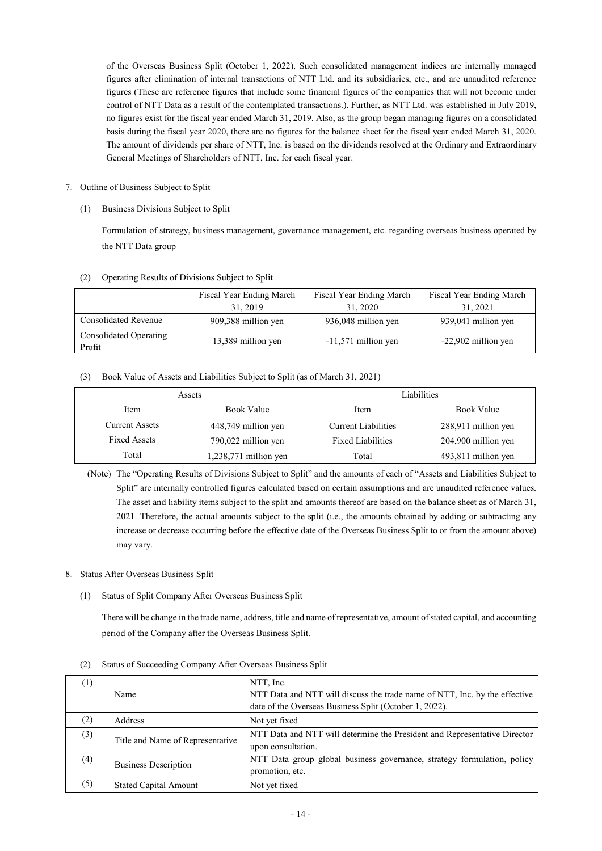of the Overseas Business Split (October 1, 2022). Such consolidated management indices are internally managed figures after elimination of internal transactions of NTT Ltd. and its subsidiaries, etc., and are unaudited reference figures (These are reference figures that include some financial figures of the companies that will not become under control of NTT Data as a result of the contemplated transactions.). Further, as NTT Ltd. was established in July 2019, no figures exist for the fiscal year ended March 31, 2019. Also, as the group began managing figures on a consolidated basis during the fiscal year 2020, there are no figures for the balance sheet for the fiscal year ended March 31, 2020. The amount of dividends per share of NTT, Inc. is based on the dividends resolved at the Ordinary and Extraordinary General Meetings of Shareholders of NTT, Inc. for each fiscal year.

- 7. Outline of Business Subject to Split
	- (1) Business Divisions Subject to Split

Formulation of strategy, business management, governance management, etc. regarding overseas business operated by the NTT Data group

|  | (2) Operating Results of Divisions Subject to Split |  |
|--|-----------------------------------------------------|--|

|                                  | Fiscal Year Ending March<br>31, 2019 | Fiscal Year Ending March<br>31, 2020 | Fiscal Year Ending March<br>31, 2021 |
|----------------------------------|--------------------------------------|--------------------------------------|--------------------------------------|
| Consolidated Revenue             | 909,388 million yen                  | 936,048 million yen                  | 939,041 million yen                  |
| Consolidated Operating<br>Profit | 13,389 million yen                   | $-11,571$ million yen                | -22,902 million yen                  |

# (3) Book Value of Assets and Liabilities Subject to Split (as of March 31, 2021)

| Assets                                       |                         | Liabilities              |                     |  |
|----------------------------------------------|-------------------------|--------------------------|---------------------|--|
| Item                                         | <b>Book Value</b>       | Item                     | Book Value          |  |
| <b>Current Assets</b><br>448,749 million yen |                         | Current Liabilities      | 288,911 million yen |  |
| <b>Fixed Assets</b><br>790,022 million yen   |                         | <b>Fixed Liabilities</b> | 204,900 million yen |  |
| Total                                        | $1,238,771$ million yen | Total                    | 493,811 million yen |  |

(Note) The "Operating Results of Divisions Subject to Split" and the amounts of each of "Assets and Liabilities Subject to Split" are internally controlled figures calculated based on certain assumptions and are unaudited reference values. The asset and liability items subject to the split and amounts thereof are based on the balance sheet as of March 31, 2021. Therefore, the actual amounts subject to the split (i.e., the amounts obtained by adding or subtracting any increase or decrease occurring before the effective date of the Overseas Business Split to or from the amount above) may vary.

- 8. Status After Overseas Business Split
	- (1) Status of Split Company After Overseas Business Split

There will be change in the trade name, address, title and name of representative, amount of stated capital, and accounting period of the Company after the Overseas Business Split.

| $\left(1\right)$ |                                  | NTT, Inc.                                                                  |
|------------------|----------------------------------|----------------------------------------------------------------------------|
|                  | Name                             | NTT Data and NTT will discuss the trade name of NTT, Inc. by the effective |
|                  |                                  | date of the Overseas Business Split (October 1, 2022).                     |
| (2)              | Address                          | Not yet fixed                                                              |
| (3)              | Title and Name of Representative | NTT Data and NTT will determine the President and Representative Director  |
|                  |                                  | upon consultation.                                                         |
| (4)              |                                  | NTT Data group global business governance, strategy formulation, policy    |
|                  | <b>Business Description</b>      | promotion, etc.                                                            |
| (5)              | <b>Stated Capital Amount</b>     | Not yet fixed                                                              |

(2) Status of Succeeding Company After Overseas Business Split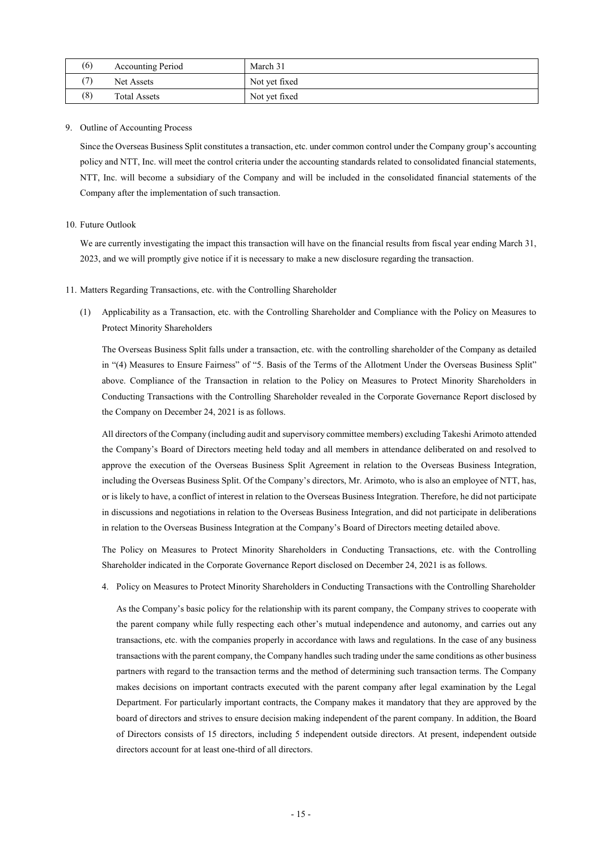| (6) | Accounting Period   | March 31      |
|-----|---------------------|---------------|
|     | Net Assets          | Not vet fixed |
| (8) | <b>Total Assets</b> | Not yet fixed |

# 9. Outline of Accounting Process

Since the Overseas Business Split constitutes a transaction, etc. under common control under the Company group's accounting policy and NTT, Inc. will meet the control criteria under the accounting standards related to consolidated financial statements, NTT, Inc. will become a subsidiary of the Company and will be included in the consolidated financial statements of the Company after the implementation of such transaction.

# 10. Future Outlook

We are currently investigating the impact this transaction will have on the financial results from fiscal year ending March 31, 2023, and we will promptly give notice if it is necessary to make a new disclosure regarding the transaction.

- 11. Matters Regarding Transactions, etc. with the Controlling Shareholder
	- (1) Applicability as a Transaction, etc. with the Controlling Shareholder and Compliance with the Policy on Measures to Protect Minority Shareholders

The Overseas Business Split falls under a transaction, etc. with the controlling shareholder of the Company as detailed in "(4) Measures to Ensure Fairness" of "5. Basis of the Terms of the Allotment Under the Overseas Business Split" above. Compliance of the Transaction in relation to the Policy on Measures to Protect Minority Shareholders in Conducting Transactions with the Controlling Shareholder revealed in the Corporate Governance Report disclosed by the Company on December 24, 2021 is as follows.

All directors of the Company (including audit and supervisory committee members) excluding Takeshi Arimoto attended the Company's Board of Directors meeting held today and all members in attendance deliberated on and resolved to approve the execution of the Overseas Business Split Agreement in relation to the Overseas Business Integration, including the Overseas Business Split. Of the Company's directors, Mr. Arimoto, who is also an employee of NTT, has, or is likely to have, a conflict of interest in relation to the Overseas Business Integration. Therefore, he did not participate in discussions and negotiations in relation to the Overseas Business Integration, and did not participate in deliberations in relation to the Overseas Business Integration at the Company's Board of Directors meeting detailed above.

The Policy on Measures to Protect Minority Shareholders in Conducting Transactions, etc. with the Controlling Shareholder indicated in the Corporate Governance Report disclosed on December 24, 2021 is as follows.

4. Policy on Measures to Protect Minority Shareholders in Conducting Transactions with the Controlling Shareholder

As the Company's basic policy for the relationship with its parent company, the Company strives to cooperate with the parent company while fully respecting each other's mutual independence and autonomy, and carries out any transactions, etc. with the companies properly in accordance with laws and regulations. In the case of any business transactions with the parent company, the Company handles such trading under the same conditions as other business partners with regard to the transaction terms and the method of determining such transaction terms. The Company makes decisions on important contracts executed with the parent company after legal examination by the Legal Department. For particularly important contracts, the Company makes it mandatory that they are approved by the board of directors and strives to ensure decision making independent of the parent company. In addition, the Board of Directors consists of 15 directors, including 5 independent outside directors. At present, independent outside directors account for at least one-third of all directors.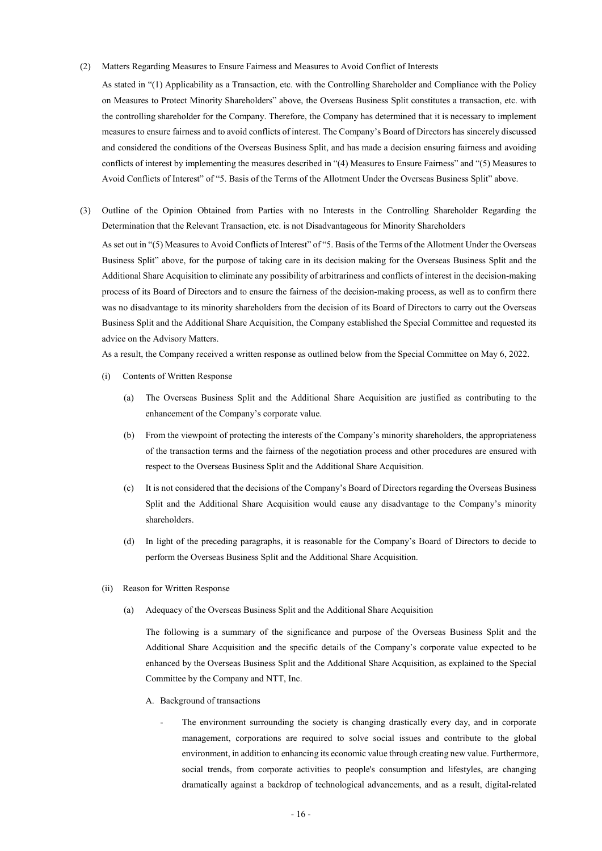(2) Matters Regarding Measures to Ensure Fairness and Measures to Avoid Conflict of Interests

As stated in "(1) Applicability as a Transaction, etc. with the Controlling Shareholder and Compliance with the Policy on Measures to Protect Minority Shareholders" above, the Overseas Business Split constitutes a transaction, etc. with the controlling shareholder for the Company. Therefore, the Company has determined that it is necessary to implement measures to ensure fairness and to avoid conflicts of interest. The Company's Board of Directors has sincerely discussed and considered the conditions of the Overseas Business Split, and has made a decision ensuring fairness and avoiding conflicts of interest by implementing the measures described in "(4) Measures to Ensure Fairness" and "(5) Measures to Avoid Conflicts of Interest" of "5. Basis of the Terms of the Allotment Under the Overseas Business Split" above.

(3) Outline of the Opinion Obtained from Parties with no Interests in the Controlling Shareholder Regarding the Determination that the Relevant Transaction, etc. is not Disadvantageous for Minority Shareholders

As set out in "(5) Measures to Avoid Conflicts of Interest" of "5. Basis of the Terms of the Allotment Under the Overseas Business Split" above, for the purpose of taking care in its decision making for the Overseas Business Split and the Additional Share Acquisition to eliminate any possibility of arbitrariness and conflicts of interest in the decision-making process of its Board of Directors and to ensure the fairness of the decision-making process, as well as to confirm there was no disadvantage to its minority shareholders from the decision of its Board of Directors to carry out the Overseas Business Split and the Additional Share Acquisition, the Company established the Special Committee and requested its advice on the Advisory Matters.

As a result, the Company received a written response as outlined below from the Special Committee on May 6, 2022.

- (i) Contents of Written Response
	- (a) The Overseas Business Split and the Additional Share Acquisition are justified as contributing to the enhancement of the Company's corporate value.
	- (b) From the viewpoint of protecting the interests of the Company's minority shareholders, the appropriateness of the transaction terms and the fairness of the negotiation process and other procedures are ensured with respect to the Overseas Business Split and the Additional Share Acquisition.
	- (c) It is not considered that the decisions of the Company's Board of Directors regarding the Overseas Business Split and the Additional Share Acquisition would cause any disadvantage to the Company's minority shareholders.
	- (d) In light of the preceding paragraphs, it is reasonable for the Company's Board of Directors to decide to perform the Overseas Business Split and the Additional Share Acquisition.
- (ii) Reason for Written Response
	- (a) Adequacy of the Overseas Business Split and the Additional Share Acquisition

The following is a summary of the significance and purpose of the Overseas Business Split and the Additional Share Acquisition and the specific details of the Company's corporate value expected to be enhanced by the Overseas Business Split and the Additional Share Acquisition, as explained to the Special Committee by the Company and NTT, Inc.

- A. Background of transactions
	- The environment surrounding the society is changing drastically every day, and in corporate management, corporations are required to solve social issues and contribute to the global environment, in addition to enhancing its economic value through creating new value. Furthermore, social trends, from corporate activities to people's consumption and lifestyles, are changing dramatically against a backdrop of technological advancements, and as a result, digital-related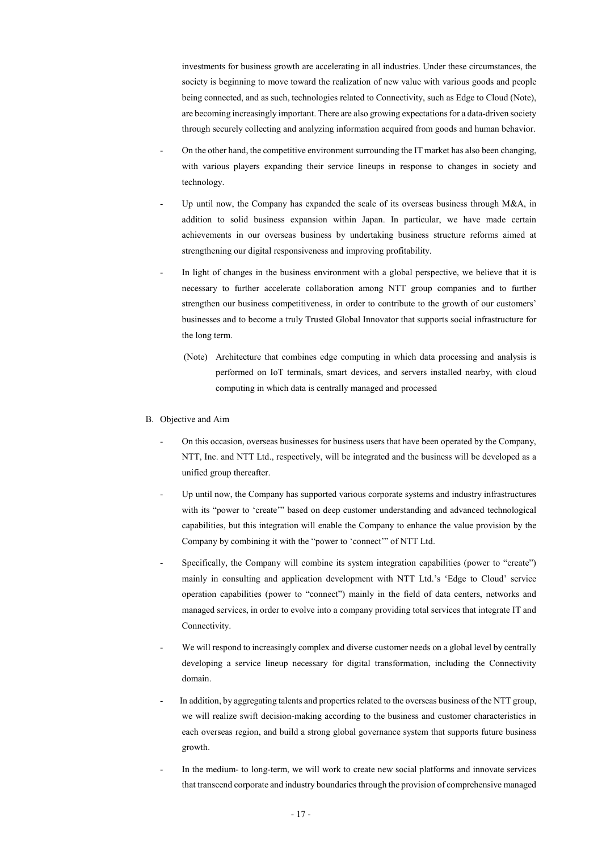investments for business growth are accelerating in all industries. Under these circumstances, the society is beginning to move toward the realization of new value with various goods and people being connected, and as such, technologies related to Connectivity, such as Edge to Cloud (Note), are becoming increasingly important. There are also growing expectations for a data-driven society through securely collecting and analyzing information acquired from goods and human behavior.

- On the other hand, the competitive environment surrounding the IT market has also been changing, with various players expanding their service lineups in response to changes in society and technology.
- Up until now, the Company has expanded the scale of its overseas business through M&A, in addition to solid business expansion within Japan. In particular, we have made certain achievements in our overseas business by undertaking business structure reforms aimed at strengthening our digital responsiveness and improving profitability.
- In light of changes in the business environment with a global perspective, we believe that it is necessary to further accelerate collaboration among NTT group companies and to further strengthen our business competitiveness, in order to contribute to the growth of our customers' businesses and to become a truly Trusted Global Innovator that supports social infrastructure for the long term.
	- (Note) Architecture that combines edge computing in which data processing and analysis is performed on IoT terminals, smart devices, and servers installed nearby, with cloud computing in which data is centrally managed and processed
- B. Objective and Aim
	- On this occasion, overseas businesses for business users that have been operated by the Company, NTT, Inc. and NTT Ltd., respectively, will be integrated and the business will be developed as a unified group thereafter.
	- Up until now, the Company has supported various corporate systems and industry infrastructures with its "power to 'create'" based on deep customer understanding and advanced technological capabilities, but this integration will enable the Company to enhance the value provision by the Company by combining it with the "power to 'connect'" of NTT Ltd.
	- Specifically, the Company will combine its system integration capabilities (power to "create") mainly in consulting and application development with NTT Ltd.'s 'Edge to Cloud' service operation capabilities (power to "connect") mainly in the field of data centers, networks and managed services, in order to evolve into a company providing total services that integrate IT and Connectivity.
	- We will respond to increasingly complex and diverse customer needs on a global level by centrally developing a service lineup necessary for digital transformation, including the Connectivity domain.
	- In addition, by aggregating talents and properties related to the overseas business of the NTT group, we will realize swift decision-making according to the business and customer characteristics in each overseas region, and build a strong global governance system that supports future business growth.
	- In the medium- to long-term, we will work to create new social platforms and innovate services that transcend corporate and industry boundaries through the provision of comprehensive managed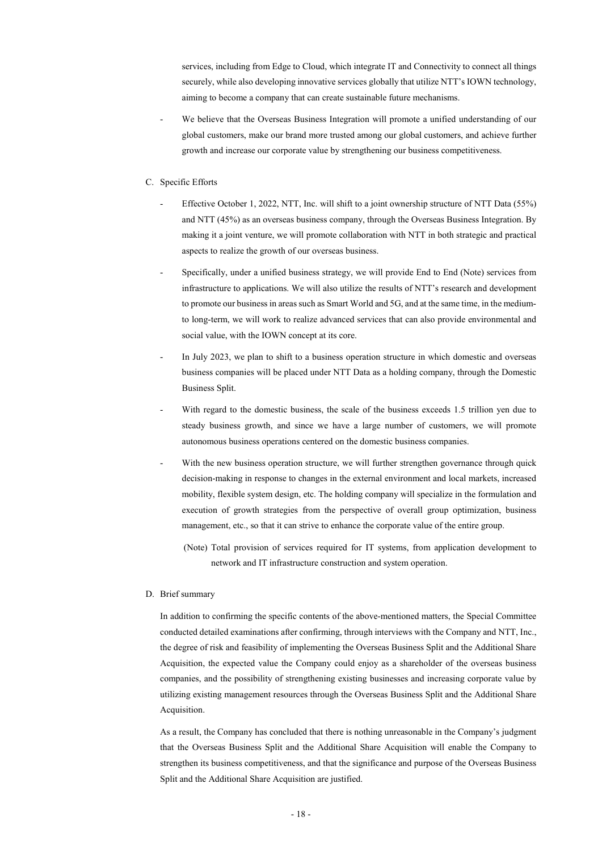services, including from Edge to Cloud, which integrate IT and Connectivity to connect all things securely, while also developing innovative services globally that utilize NTT's IOWN technology, aiming to become a company that can create sustainable future mechanisms.

We believe that the Overseas Business Integration will promote a unified understanding of our global customers, make our brand more trusted among our global customers, and achieve further growth and increase our corporate value by strengthening our business competitiveness.

# C. Specific Efforts

- Effective October 1, 2022, NTT, Inc. will shift to a joint ownership structure of NTT Data (55%) and NTT (45%) as an overseas business company, through the Overseas Business Integration. By making it a joint venture, we will promote collaboration with NTT in both strategic and practical aspects to realize the growth of our overseas business.
- Specifically, under a unified business strategy, we will provide End to End (Note) services from infrastructure to applications. We will also utilize the results of NTT's research and development to promote our business in areas such as Smart World and 5G, and at the same time, in the mediumto long-term, we will work to realize advanced services that can also provide environmental and social value, with the IOWN concept at its core.
- In July 2023, we plan to shift to a business operation structure in which domestic and overseas business companies will be placed under NTT Data as a holding company, through the Domestic Business Split.
- With regard to the domestic business, the scale of the business exceeds 1.5 trillion yen due to steady business growth, and since we have a large number of customers, we will promote autonomous business operations centered on the domestic business companies.
- With the new business operation structure, we will further strengthen governance through quick decision-making in response to changes in the external environment and local markets, increased mobility, flexible system design, etc. The holding company will specialize in the formulation and execution of growth strategies from the perspective of overall group optimization, business management, etc., so that it can strive to enhance the corporate value of the entire group.
	- (Note) Total provision of services required for IT systems, from application development to network and IT infrastructure construction and system operation.

### D. Brief summary

In addition to confirming the specific contents of the above-mentioned matters, the Special Committee conducted detailed examinations after confirming, through interviews with the Company and NTT, Inc., the degree of risk and feasibility of implementing the Overseas Business Split and the Additional Share Acquisition, the expected value the Company could enjoy as a shareholder of the overseas business companies, and the possibility of strengthening existing businesses and increasing corporate value by utilizing existing management resources through the Overseas Business Split and the Additional Share Acquisition.

As a result, the Company has concluded that there is nothing unreasonable in the Company's judgment that the Overseas Business Split and the Additional Share Acquisition will enable the Company to strengthen its business competitiveness, and that the significance and purpose of the Overseas Business Split and the Additional Share Acquisition are justified.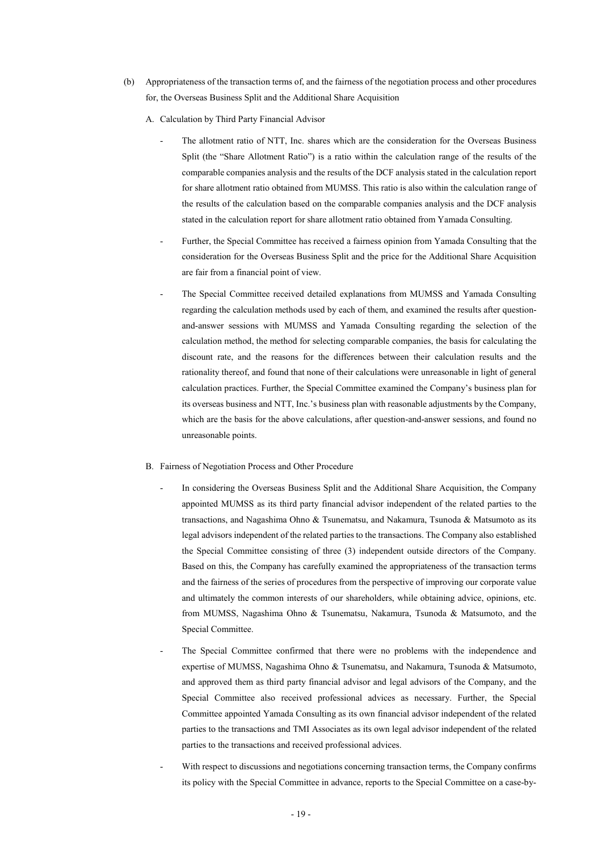- (b) Appropriateness of the transaction terms of, and the fairness of the negotiation process and other procedures for, the Overseas Business Split and the Additional Share Acquisition
	- A. Calculation by Third Party Financial Advisor
		- The allotment ratio of NTT, Inc. shares which are the consideration for the Overseas Business Split (the "Share Allotment Ratio") is a ratio within the calculation range of the results of the comparable companies analysis and the results of the DCF analysis stated in the calculation report for share allotment ratio obtained from MUMSS. This ratio is also within the calculation range of the results of the calculation based on the comparable companies analysis and the DCF analysis stated in the calculation report for share allotment ratio obtained from Yamada Consulting.
		- Further, the Special Committee has received a fairness opinion from Yamada Consulting that the consideration for the Overseas Business Split and the price for the Additional Share Acquisition are fair from a financial point of view.
		- The Special Committee received detailed explanations from MUMSS and Yamada Consulting regarding the calculation methods used by each of them, and examined the results after questionand-answer sessions with MUMSS and Yamada Consulting regarding the selection of the calculation method, the method for selecting comparable companies, the basis for calculating the discount rate, and the reasons for the differences between their calculation results and the rationality thereof, and found that none of their calculations were unreasonable in light of general calculation practices. Further, the Special Committee examined the Company's business plan for its overseas business and NTT, Inc.'s business plan with reasonable adjustments by the Company, which are the basis for the above calculations, after question-and-answer sessions, and found no unreasonable points.

### B. Fairness of Negotiation Process and Other Procedure

- In considering the Overseas Business Split and the Additional Share Acquisition, the Company appointed MUMSS as its third party financial advisor independent of the related parties to the transactions, and Nagashima Ohno & Tsunematsu, and Nakamura, Tsunoda & Matsumoto as its legal advisors independent of the related parties to the transactions. The Company also established the Special Committee consisting of three (3) independent outside directors of the Company. Based on this, the Company has carefully examined the appropriateness of the transaction terms and the fairness of the series of procedures from the perspective of improving our corporate value and ultimately the common interests of our shareholders, while obtaining advice, opinions, etc. from MUMSS, Nagashima Ohno & Tsunematsu, Nakamura, Tsunoda & Matsumoto, and the Special Committee.
- The Special Committee confirmed that there were no problems with the independence and expertise of MUMSS, Nagashima Ohno & Tsunematsu, and Nakamura, Tsunoda & Matsumoto, and approved them as third party financial advisor and legal advisors of the Company, and the Special Committee also received professional advices as necessary. Further, the Special Committee appointed Yamada Consulting as its own financial advisor independent of the related parties to the transactions and TMI Associates as its own legal advisor independent of the related parties to the transactions and received professional advices.
- With respect to discussions and negotiations concerning transaction terms, the Company confirms its policy with the Special Committee in advance, reports to the Special Committee on a case-by-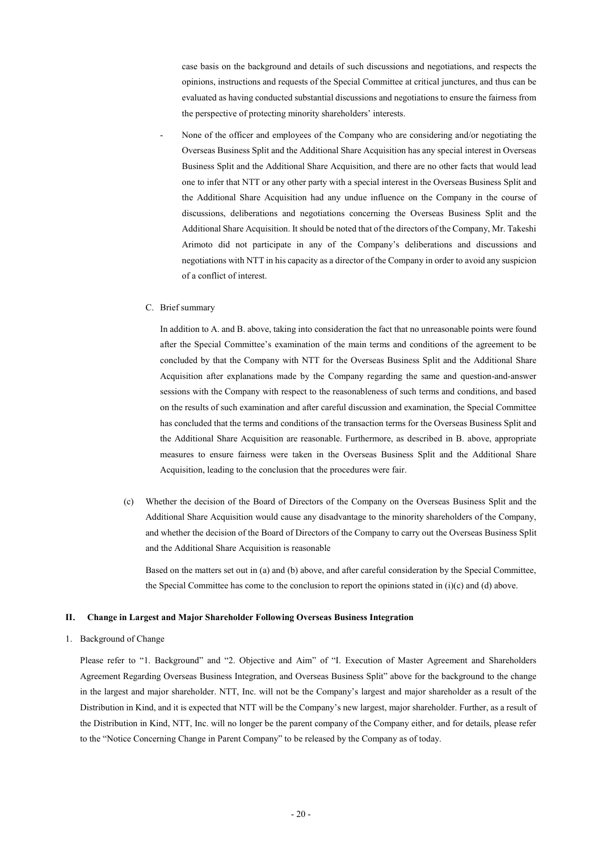case basis on the background and details of such discussions and negotiations, and respects the opinions, instructions and requests of the Special Committee at critical junctures, and thus can be evaluated as having conducted substantial discussions and negotiations to ensure the fairness from the perspective of protecting minority shareholders' interests.

None of the officer and employees of the Company who are considering and/or negotiating the Overseas Business Split and the Additional Share Acquisition has any special interest in Overseas Business Split and the Additional Share Acquisition, and there are no other facts that would lead one to infer that NTT or any other party with a special interest in the Overseas Business Split and the Additional Share Acquisition had any undue influence on the Company in the course of discussions, deliberations and negotiations concerning the Overseas Business Split and the Additional Share Acquisition. It should be noted that of the directors of the Company, Mr. Takeshi Arimoto did not participate in any of the Company's deliberations and discussions and negotiations with NTT in his capacity as a director of the Company in order to avoid any suspicion of a conflict of interest.

### C. Brief summary

In addition to A. and B. above, taking into consideration the fact that no unreasonable points were found after the Special Committee's examination of the main terms and conditions of the agreement to be concluded by that the Company with NTT for the Overseas Business Split and the Additional Share Acquisition after explanations made by the Company regarding the same and question-and-answer sessions with the Company with respect to the reasonableness of such terms and conditions, and based on the results of such examination and after careful discussion and examination, the Special Committee has concluded that the terms and conditions of the transaction terms for the Overseas Business Split and the Additional Share Acquisition are reasonable. Furthermore, as described in B. above, appropriate measures to ensure fairness were taken in the Overseas Business Split and the Additional Share Acquisition, leading to the conclusion that the procedures were fair.

(c) Whether the decision of the Board of Directors of the Company on the Overseas Business Split and the Additional Share Acquisition would cause any disadvantage to the minority shareholders of the Company, and whether the decision of the Board of Directors of the Company to carry out the Overseas Business Split and the Additional Share Acquisition is reasonable

Based on the matters set out in (a) and (b) above, and after careful consideration by the Special Committee, the Special Committee has come to the conclusion to report the opinions stated in  $(i)(c)$  and (d) above.

#### **II**. **Change in Largest and Major Shareholder Following Overseas Business Integration**

### 1. Background of Change

Please refer to "1. Background" and "2. Objective and Aim" of "I. Execution of Master Agreement and Shareholders Agreement Regarding Overseas Business Integration, and Overseas Business Split" above for the background to the change in the largest and major shareholder. NTT, Inc. will not be the Company's largest and major shareholder as a result of the Distribution in Kind, and it is expected that NTT will be the Company's new largest, major shareholder. Further, as a result of the Distribution in Kind, NTT, Inc. will no longer be the parent company of the Company either, and for details, please refer to the "Notice Concerning Change in Parent Company" to be released by the Company as of today.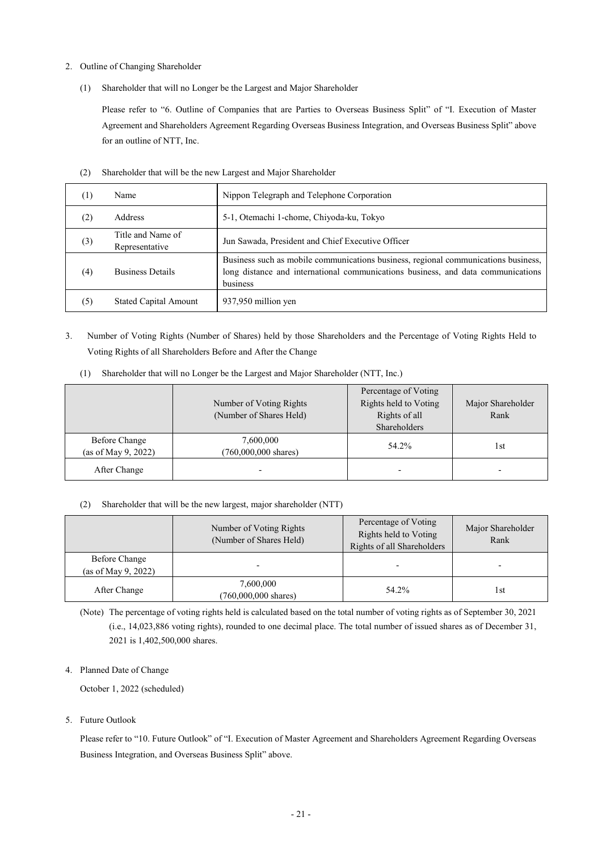- 2. Outline of Changing Shareholder
	- (1) Shareholder that will no Longer be the Largest and Major Shareholder

Please refer to "6. Outline of Companies that are Parties to Overseas Business Split" of "I. Execution of Master Agreement and Shareholders Agreement Regarding Overseas Business Integration, and Overseas Business Split" above for an outline of NTT, Inc.

| (1) | Name                                | Nippon Telegraph and Telephone Corporation                                                                                                                                         |
|-----|-------------------------------------|------------------------------------------------------------------------------------------------------------------------------------------------------------------------------------|
| (2) | Address                             | 5-1, Otemachi 1-chome, Chiyoda-ku, Tokyo                                                                                                                                           |
| (3) | Title and Name of<br>Representative | Jun Sawada, President and Chief Executive Officer                                                                                                                                  |
| (4) | <b>Business Details</b>             | Business such as mobile communications business, regional communications business,<br>long distance and international communications business, and data communications<br>business |
|     | <b>Stated Capital Amount</b>        | 937,950 million yen                                                                                                                                                                |

(2) Shareholder that will be the new Largest and Major Shareholder

3. Number of Voting Rights (Number of Shares) held by those Shareholders and the Percentage of Voting Rights Held to Voting Rights of all Shareholders Before and After the Change

|                                      | Number of Voting Rights<br>(Number of Shares Held) | Percentage of Voting<br>Rights held to Voting<br>Rights of all<br><b>Shareholders</b> | Major Shareholder<br>Rank |
|--------------------------------------|----------------------------------------------------|---------------------------------------------------------------------------------------|---------------------------|
| Before Change<br>(as of May 9, 2022) | 7,600,000<br>$(760,000,000 \text{ shares})$        | 54.2%                                                                                 | l st                      |
| After Change                         | $\overline{\phantom{0}}$                           |                                                                                       | $\overline{\phantom{0}}$  |

(1) Shareholder that will no Longer be the Largest and Major Shareholder (NTT, Inc.)

# (2) Shareholder that will be the new largest, major shareholder (NTT)

|                                      | Number of Voting Rights<br>(Number of Shares Held) | Percentage of Voting<br>Rights held to Voting<br>Rights of all Shareholders | Major Shareholder<br>Rank |
|--------------------------------------|----------------------------------------------------|-----------------------------------------------------------------------------|---------------------------|
| Before Change<br>(as of May 9, 2022) |                                                    |                                                                             |                           |
| After Change                         | 7,600,000<br>$(760,000,000 \text{ shares})$        | 54.2%                                                                       | 1st                       |

(Note) The percentage of voting rights held is calculated based on the total number of voting rights as of September 30, 2021 (i.e., 14,023,886 voting rights), rounded to one decimal place. The total number of issued shares as of December 31, 2021 is 1,402,500,000 shares.

4. Planned Date of Change

October 1, 2022 (scheduled)

5. Future Outlook

Please refer to "10. Future Outlook" of "I. Execution of Master Agreement and Shareholders Agreement Regarding Overseas Business Integration, and Overseas Business Split" above.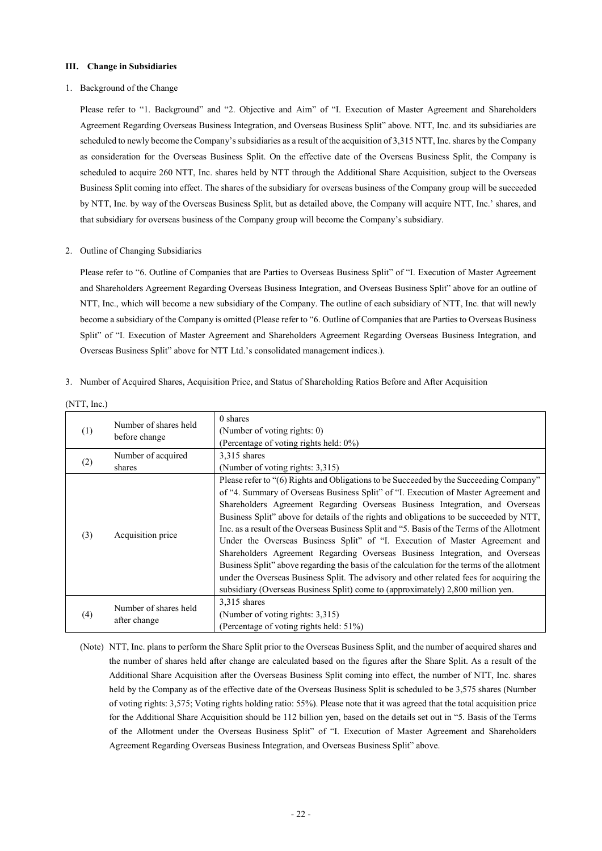# **III**. **Change in Subsidiaries**

### 1. Background of the Change

Please refer to "1. Background" and "2. Objective and Aim" of "I. Execution of Master Agreement and Shareholders Agreement Regarding Overseas Business Integration, and Overseas Business Split" above. NTT, Inc. and its subsidiaries are scheduled to newly become the Company's subsidiaries as a result of the acquisition of 3,315 NTT, Inc. shares by the Company as consideration for the Overseas Business Split. On the effective date of the Overseas Business Split, the Company is scheduled to acquire 260 NTT, Inc. shares held by NTT through the Additional Share Acquisition, subject to the Overseas Business Split coming into effect. The shares of the subsidiary for overseas business of the Company group will be succeeded by NTT, Inc. by way of the Overseas Business Split, but as detailed above, the Company will acquire NTT, Inc.' shares, and that subsidiary for overseas business of the Company group will become the Company's subsidiary.

# 2. Outline of Changing Subsidiaries

Please refer to "6. Outline of Companies that are Parties to Overseas Business Split" of "I. Execution of Master Agreement and Shareholders Agreement Regarding Overseas Business Integration, and Overseas Business Split" above for an outline of NTT, Inc., which will become a new subsidiary of the Company. The outline of each subsidiary of NTT, Inc. that will newly become a subsidiary of the Company is omitted (Please refer to "6. Outline of Companies that are Parties to Overseas Business Split" of "I. Execution of Master Agreement and Shareholders Agreement Regarding Overseas Business Integration, and Overseas Business Split" above for NTT Ltd.'s consolidated management indices.).

3. Number of Acquired Shares, Acquisition Price, and Status of Shareholding Ratios Before and After Acquisition

| (1) | Number of shares held<br>before change | 0 shares<br>(Number of voting rights: 0)<br>(Percentage of voting rights held: 0%)                                                                                                                                                                                                                                                                                                                                                                                                                                                                                                                                                                                                                                                                                                                                                                                                                   |
|-----|----------------------------------------|------------------------------------------------------------------------------------------------------------------------------------------------------------------------------------------------------------------------------------------------------------------------------------------------------------------------------------------------------------------------------------------------------------------------------------------------------------------------------------------------------------------------------------------------------------------------------------------------------------------------------------------------------------------------------------------------------------------------------------------------------------------------------------------------------------------------------------------------------------------------------------------------------|
| (2) | Number of acquired<br>shares           | $3.315$ shares<br>(Number of voting rights: 3,315)                                                                                                                                                                                                                                                                                                                                                                                                                                                                                                                                                                                                                                                                                                                                                                                                                                                   |
| (3) | Acquisition price                      | Please refer to "(6) Rights and Obligations to be Succeeded by the Succeeding Company"<br>of "4. Summary of Overseas Business Split" of "I. Execution of Master Agreement and<br>Shareholders Agreement Regarding Overseas Business Integration, and Overseas<br>Business Split" above for details of the rights and obligations to be succeeded by NTT,<br>Inc. as a result of the Overseas Business Split and "5. Basis of the Terms of the Allotment<br>Under the Overseas Business Split" of "I. Execution of Master Agreement and<br>Shareholders Agreement Regarding Overseas Business Integration, and Overseas<br>Business Split" above regarding the basis of the calculation for the terms of the allotment<br>under the Overseas Business Split. The advisory and other related fees for acquiring the<br>subsidiary (Overseas Business Split) come to (approximately) 2,800 million yen. |
| (4) | Number of shares held<br>after change  | 3,315 shares<br>(Number of voting rights: 3,315)<br>(Percentage of voting rights held: 51%)                                                                                                                                                                                                                                                                                                                                                                                                                                                                                                                                                                                                                                                                                                                                                                                                          |

(NTT, Inc.)

(Note) NTT, Inc. plans to perform the Share Split prior to the Overseas Business Split, and the number of acquired shares and the number of shares held after change are calculated based on the figures after the Share Split. As a result of the Additional Share Acquisition after the Overseas Business Split coming into effect, the number of NTT, Inc. shares held by the Company as of the effective date of the Overseas Business Split is scheduled to be 3,575 shares (Number of voting rights: 3,575; Voting rights holding ratio: 55%). Please note that it was agreed that the total acquisition price for the Additional Share Acquisition should be 112 billion yen, based on the details set out in "5. Basis of the Terms of the Allotment under the Overseas Business Split" of "I. Execution of Master Agreement and Shareholders Agreement Regarding Overseas Business Integration, and Overseas Business Split" above.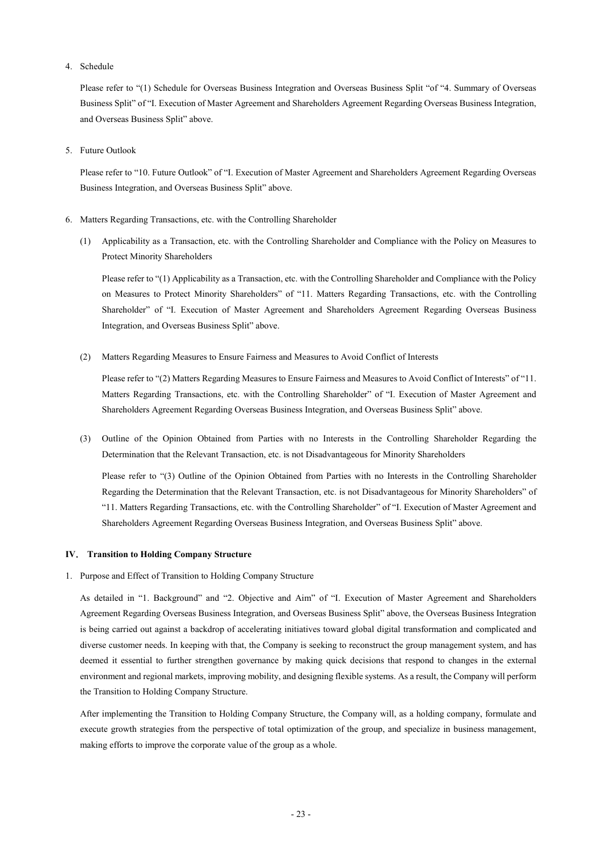4. Schedule

Please refer to "(1) Schedule for Overseas Business Integration and Overseas Business Split "of "4. Summary of Overseas Business Split" of "I. Execution of Master Agreement and Shareholders Agreement Regarding Overseas Business Integration, and Overseas Business Split" above.

5. Future Outlook

Please refer to "10. Future Outlook" of "I. Execution of Master Agreement and Shareholders Agreement Regarding Overseas Business Integration, and Overseas Business Split" above.

- 6. Matters Regarding Transactions, etc. with the Controlling Shareholder
	- (1) Applicability as a Transaction, etc. with the Controlling Shareholder and Compliance with the Policy on Measures to Protect Minority Shareholders

Please refer to "(1) Applicability as a Transaction, etc. with the Controlling Shareholder and Compliance with the Policy on Measures to Protect Minority Shareholders" of "11. Matters Regarding Transactions, etc. with the Controlling Shareholder" of "I. Execution of Master Agreement and Shareholders Agreement Regarding Overseas Business Integration, and Overseas Business Split" above.

(2) Matters Regarding Measures to Ensure Fairness and Measures to Avoid Conflict of Interests

Please refer to "(2) Matters Regarding Measures to Ensure Fairness and Measures to Avoid Conflict of Interests" of "11. Matters Regarding Transactions, etc. with the Controlling Shareholder" of "I. Execution of Master Agreement and Shareholders Agreement Regarding Overseas Business Integration, and Overseas Business Split" above.

(3) Outline of the Opinion Obtained from Parties with no Interests in the Controlling Shareholder Regarding the Determination that the Relevant Transaction, etc. is not Disadvantageous for Minority Shareholders

Please refer to "(3) Outline of the Opinion Obtained from Parties with no Interests in the Controlling Shareholder Regarding the Determination that the Relevant Transaction, etc. is not Disadvantageous for Minority Shareholders" of "11. Matters Regarding Transactions, etc. with the Controlling Shareholder" of "I. Execution of Master Agreement and Shareholders Agreement Regarding Overseas Business Integration, and Overseas Business Split" above.

### **Ⅳ**. **Transition to Holding Company Structure**

1. Purpose and Effect of Transition to Holding Company Structure

As detailed in "1. Background" and "2. Objective and Aim" of "I. Execution of Master Agreement and Shareholders Agreement Regarding Overseas Business Integration, and Overseas Business Split" above, the Overseas Business Integration is being carried out against a backdrop of accelerating initiatives toward global digital transformation and complicated and diverse customer needs. In keeping with that, the Company is seeking to reconstruct the group management system, and has deemed it essential to further strengthen governance by making quick decisions that respond to changes in the external environment and regional markets, improving mobility, and designing flexible systems. As a result, the Company will perform the Transition to Holding Company Structure.

After implementing the Transition to Holding Company Structure, the Company will, as a holding company, formulate and execute growth strategies from the perspective of total optimization of the group, and specialize in business management, making efforts to improve the corporate value of the group as a whole.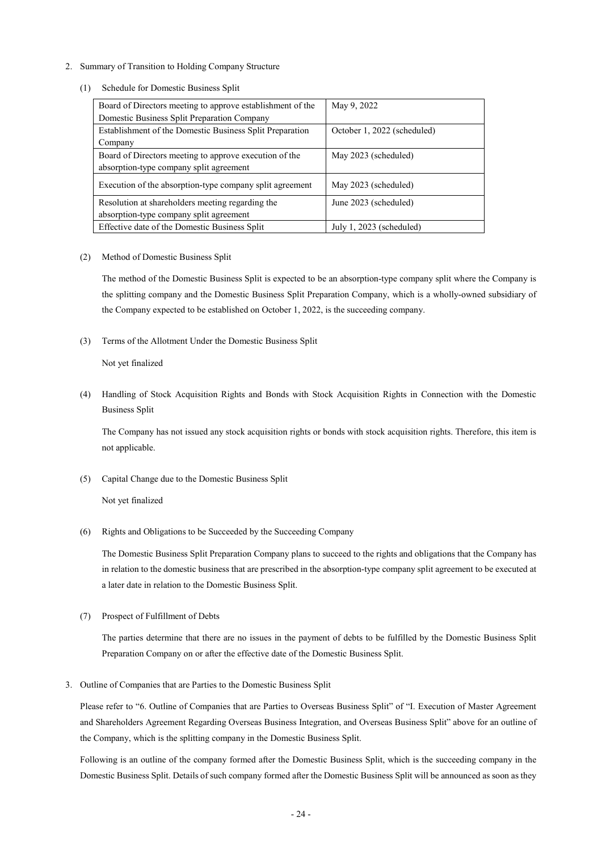- 2. Summary of Transition to Holding Company Structure
	- (1) Schedule for Domestic Business Split

| Board of Directors meeting to approve establishment of the | May 9, 2022                 |
|------------------------------------------------------------|-----------------------------|
| Domestic Business Split Preparation Company                |                             |
| Establishment of the Domestic Business Split Preparation   | October 1, 2022 (scheduled) |
| Company                                                    |                             |
| Board of Directors meeting to approve execution of the     | May 2023 (scheduled)        |
| absorption-type company split agreement                    |                             |
| Execution of the absorption-type company split agreement   | May 2023 (scheduled)        |
| Resolution at shareholders meeting regarding the           | June 2023 (scheduled)       |
| absorption-type company split agreement                    |                             |
| Effective date of the Domestic Business Split              | July 1, 2023 (scheduled)    |

(2) Method of Domestic Business Split

The method of the Domestic Business Split is expected to be an absorption-type company split where the Company is the splitting company and the Domestic Business Split Preparation Company, which is a wholly-owned subsidiary of the Company expected to be established on October 1, 2022, is the succeeding company.

(3) Terms of the Allotment Under the Domestic Business Split

Not yet finalized

(4) Handling of Stock Acquisition Rights and Bonds with Stock Acquisition Rights in Connection with the Domestic Business Split

The Company has not issued any stock acquisition rights or bonds with stock acquisition rights. Therefore, this item is not applicable.

(5) Capital Change due to the Domestic Business Split

Not yet finalized

(6) Rights and Obligations to be Succeeded by the Succeeding Company

The Domestic Business Split Preparation Company plans to succeed to the rights and obligations that the Company has in relation to the domestic business that are prescribed in the absorption-type company split agreement to be executed at a later date in relation to the Domestic Business Split.

(7) Prospect of Fulfillment of Debts

The parties determine that there are no issues in the payment of debts to be fulfilled by the Domestic Business Split Preparation Company on or after the effective date of the Domestic Business Split.

3. Outline of Companies that are Parties to the Domestic Business Split

Please refer to "6. Outline of Companies that are Parties to Overseas Business Split" of "I. Execution of Master Agreement and Shareholders Agreement Regarding Overseas Business Integration, and Overseas Business Split" above for an outline of the Company, which is the splitting company in the Domestic Business Split.

Following is an outline of the company formed after the Domestic Business Split, which is the succeeding company in the Domestic Business Split. Details of such company formed after the Domestic Business Split will be announced as soon as they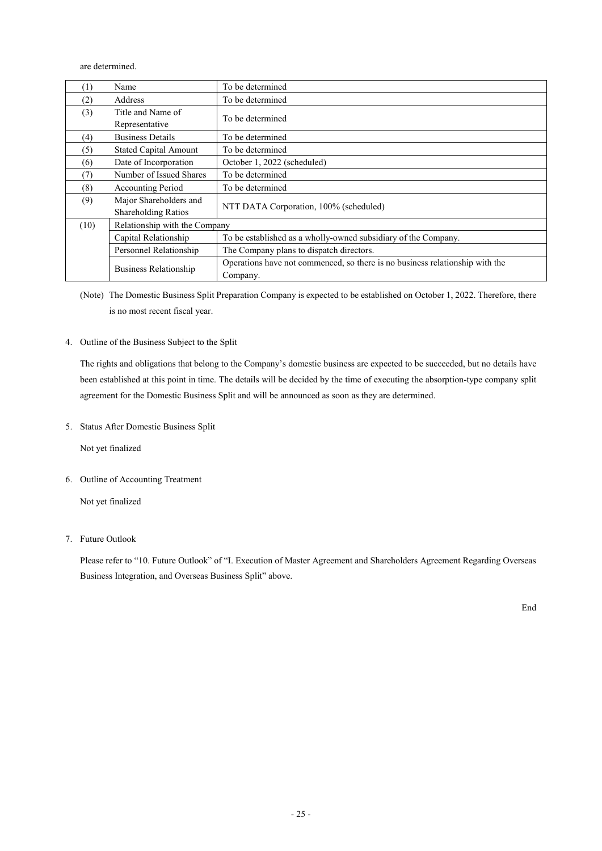are determined.

| (1)  | Name                          | To be determined                                                                         |  |
|------|-------------------------------|------------------------------------------------------------------------------------------|--|
| (2)  | Address                       | To be determined                                                                         |  |
| (3)  | Title and Name of             | To be determined                                                                         |  |
|      | Representative                |                                                                                          |  |
| (4)  | <b>Business Details</b>       | To be determined                                                                         |  |
| (5)  | <b>Stated Capital Amount</b>  | To be determined                                                                         |  |
| (6)  | Date of Incorporation         | October 1, 2022 (scheduled)                                                              |  |
| (7)  | Number of Issued Shares       | To be determined                                                                         |  |
| (8)  | <b>Accounting Period</b>      | To be determined                                                                         |  |
| (9)  | Major Shareholders and        |                                                                                          |  |
|      | <b>Shareholding Ratios</b>    | NTT DATA Corporation, 100% (scheduled)                                                   |  |
| (10) | Relationship with the Company |                                                                                          |  |
|      | Capital Relationship          | To be established as a wholly-owned subsidiary of the Company.                           |  |
|      | Personnel Relationship        | The Company plans to dispatch directors.                                                 |  |
|      | <b>Business Relationship</b>  | Operations have not commenced, so there is no business relationship with the<br>Company. |  |

(Note) The Domestic Business Split Preparation Company is expected to be established on October 1, 2022. Therefore, there is no most recent fiscal year.

4. Outline of the Business Subject to the Split

The rights and obligations that belong to the Company's domestic business are expected to be succeeded, but no details have been established at this point in time. The details will be decided by the time of executing the absorption-type company split agreement for the Domestic Business Split and will be announced as soon as they are determined.

5. Status After Domestic Business Split

Not yet finalized

6. Outline of Accounting Treatment

Not yet finalized

7. Future Outlook

Please refer to "10. Future Outlook" of "I. Execution of Master Agreement and Shareholders Agreement Regarding Overseas Business Integration, and Overseas Business Split" above.

End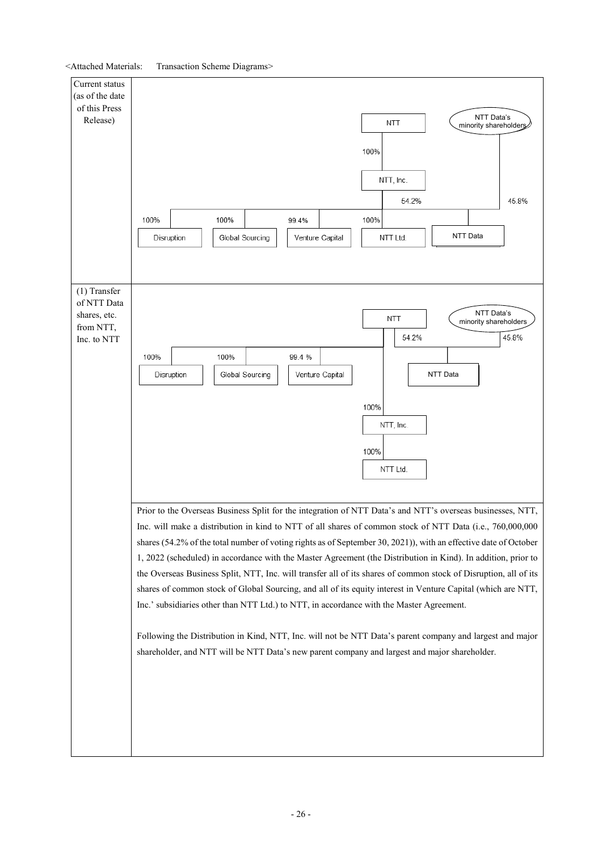<Attached Materials: Transaction Scheme Diagrams>

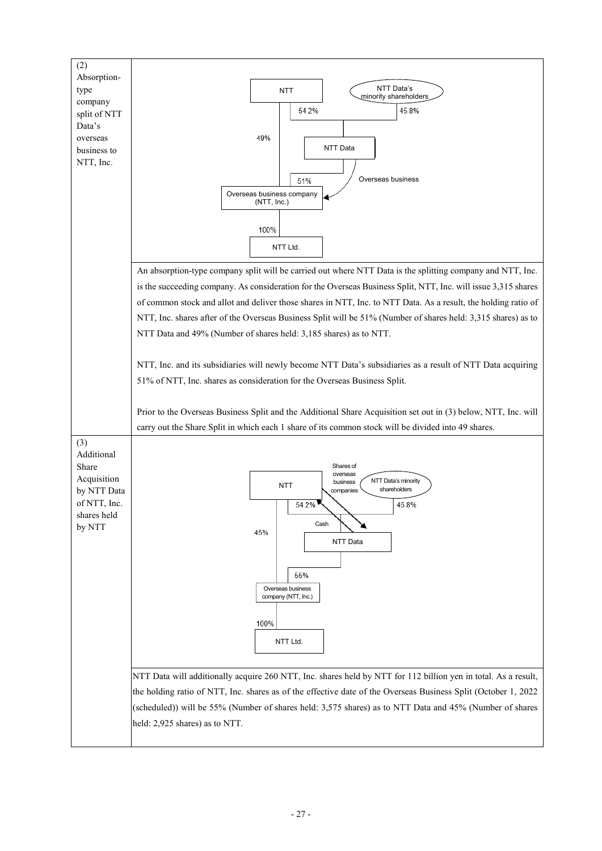